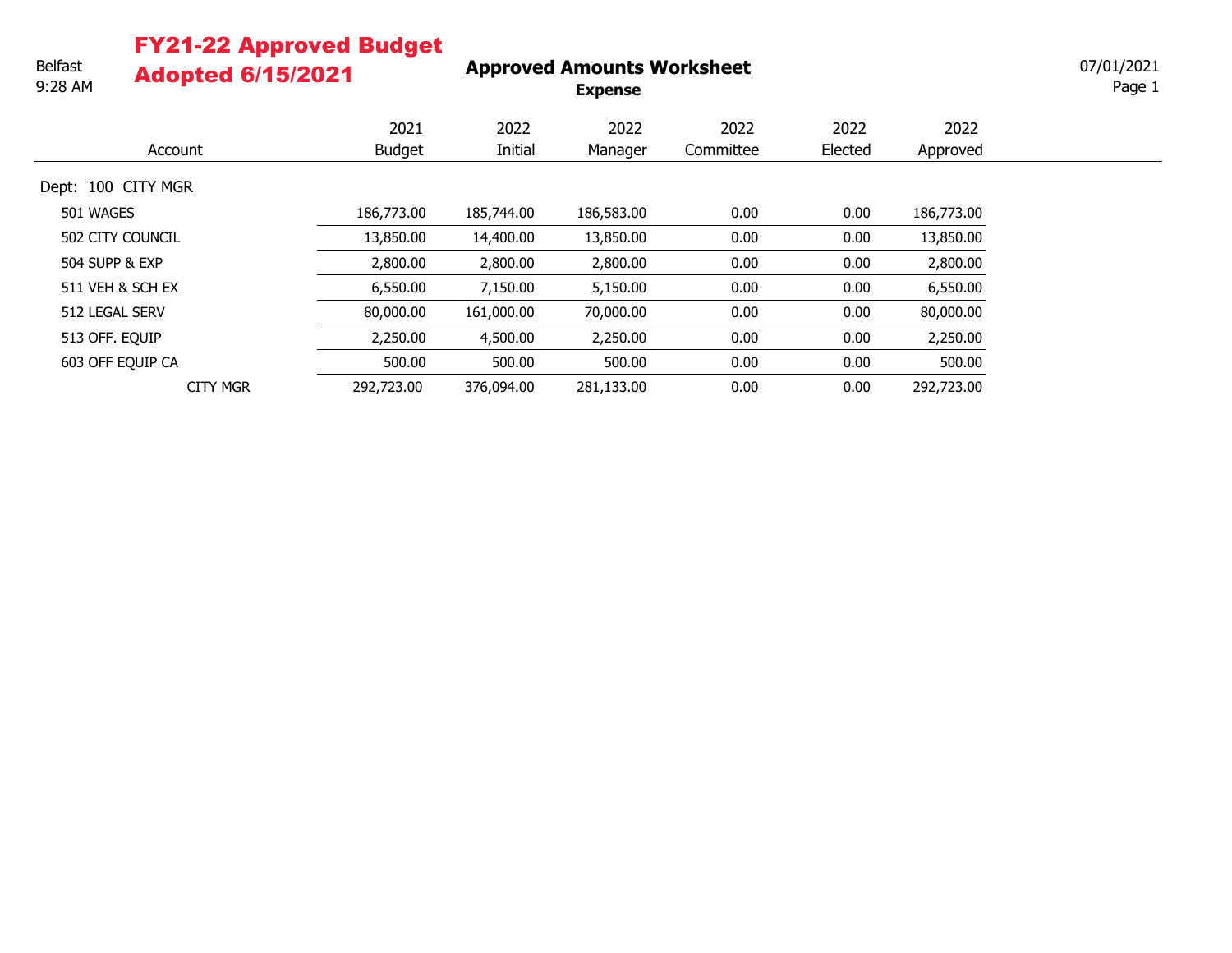| Belfast |  |
|---------|--|
| 9:28 AM |  |

# FY21-22 Approved Budget

Adopted 6/15/2021

Approved Amounts Worksheet

Expense

Page 1 07/01/2021

|                    | 2021          | 2022       | 2022       | 2022      | 2022    | 2022       |
|--------------------|---------------|------------|------------|-----------|---------|------------|
| Account            | <b>Budget</b> | Initial    | Manager    | Committee | Elected | Approved   |
| Dept: 100 CITY MGR |               |            |            |           |         |            |
| 501 WAGES          | 186,773.00    | 185,744.00 | 186,583.00 | 0.00      | 0.00    | 186,773.00 |
| 502 CITY COUNCIL   | 13,850.00     | 14,400.00  | 13,850.00  | 0.00      | 0.00    | 13,850.00  |
| 504 SUPP & EXP     | 2,800.00      | 2,800.00   | 2,800.00   | 0.00      | 0.00    | 2,800.00   |
| 511 VEH & SCH EX   | 6,550.00      | 7,150.00   | 5,150.00   | 0.00      | 0.00    | 6,550.00   |
| 512 LEGAL SERV     | 80,000.00     | 161,000.00 | 70,000.00  | 0.00      | 0.00    | 80,000.00  |
| 513 OFF. EQUIP     | 2,250.00      | 4,500.00   | 2,250.00   | 0.00      | 0.00    | 2,250.00   |
| 603 OFF EQUIP CA   | 500.00        | 500.00     | 500.00     | 0.00      | 0.00    | 500.00     |
| <b>CITY MGR</b>    | 292,723.00    | 376,094.00 | 281,133.00 | 0.00      | 0.00    | 292,723.00 |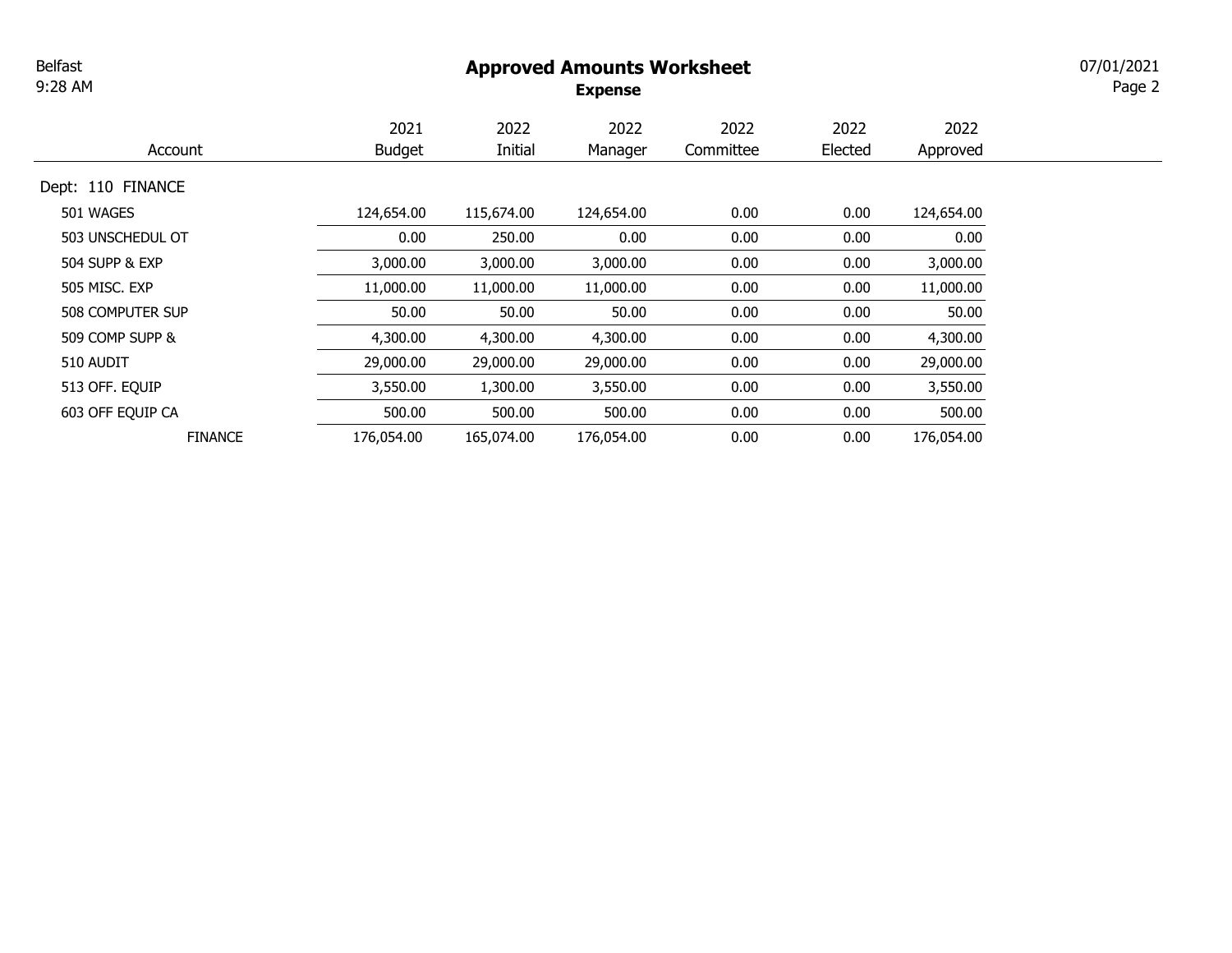### Approved Amounts Worksheet

Expense

Page 2 07/01/2021

| Account           | 2021<br><b>Budget</b> | 2022<br>Initial | 2022<br>Manager | 2022<br>Committee | 2022<br>Elected | 2022<br>Approved |
|-------------------|-----------------------|-----------------|-----------------|-------------------|-----------------|------------------|
| Dept: 110 FINANCE |                       |                 |                 |                   |                 |                  |
| 501 WAGES         | 124,654.00            | 115,674.00      | 124,654.00      | 0.00              | 0.00            | 124,654.00       |
| 503 UNSCHEDUL OT  | 0.00                  | 250.00          | 0.00            | 0.00              | 0.00            | 0.00             |
| 504 SUPP & EXP    | 3,000.00              | 3,000.00        | 3,000.00        | 0.00              | 0.00            | 3,000.00         |
| 505 MISC, EXP     | 11,000.00             | 11,000.00       | 11,000.00       | 0.00              | 0.00            | 11,000.00        |
| 508 COMPUTER SUP  | 50.00                 | 50.00           | 50.00           | 0.00              | 0.00            | 50.00            |
| 509 COMP SUPP &   | 4,300.00              | 4,300.00        | 4,300.00        | 0.00              | 0.00            | 4,300.00         |
| 510 AUDIT         | 29,000.00             | 29,000.00       | 29,000.00       | 0.00              | 0.00            | 29,000.00        |
| 513 OFF. EQUIP    | 3,550.00              | 1,300.00        | 3,550.00        | 0.00              | 0.00            | 3,550.00         |
| 603 OFF EQUIP CA  | 500.00                | 500.00          | 500.00          | 0.00              | 0.00            | 500.00           |
| <b>FINANCE</b>    | 176,054.00            | 165,074.00      | 176,054.00      | 0.00              | 0.00            | 176,054.00       |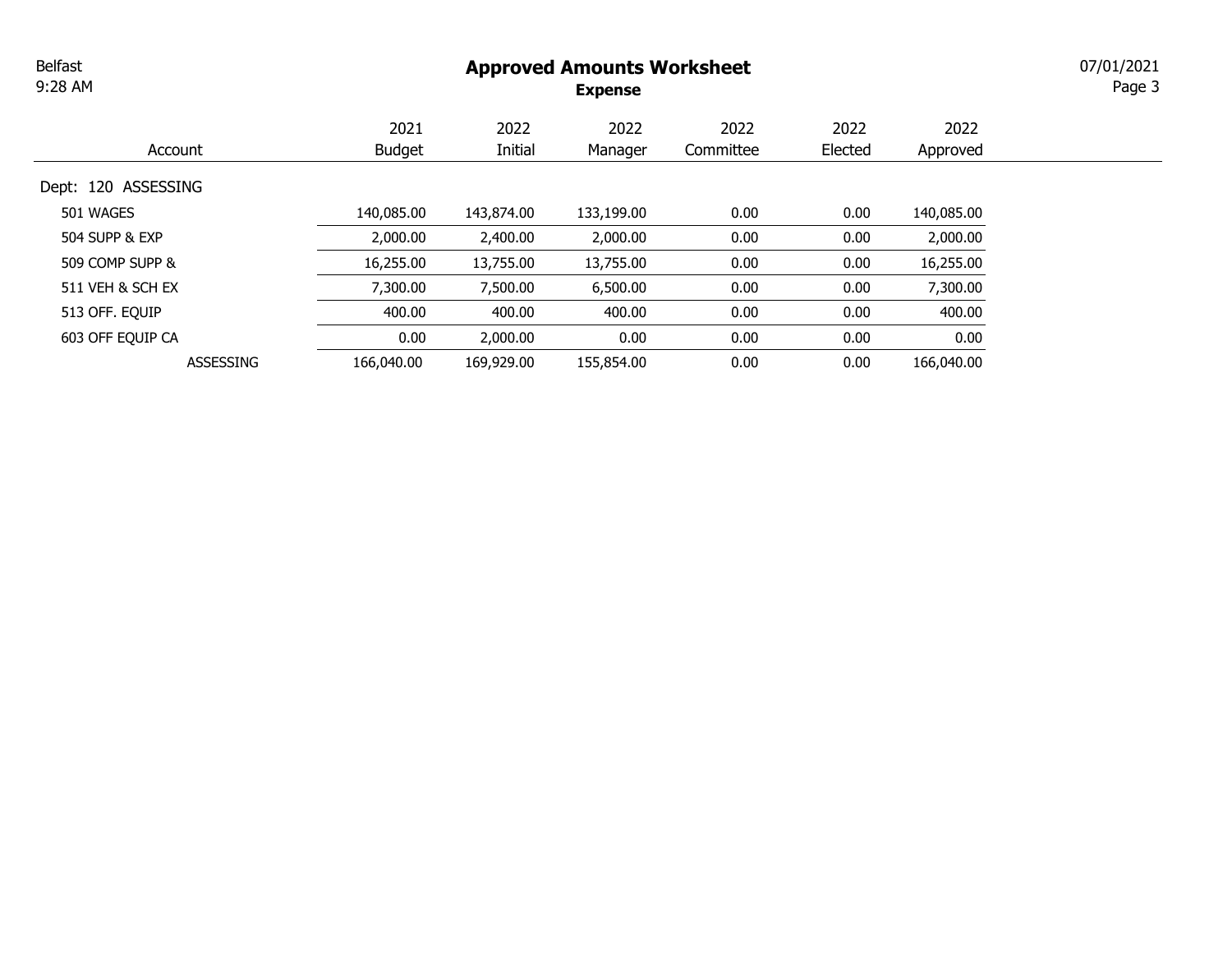### Approved Amounts Worksheet

Expense

Page 3 07/01/2021

**Contract Contract** 

| Account             | 2021<br><b>Budget</b> | 2022<br>Initial | 2022<br>Manager | 2022<br>Committee | 2022<br>Elected | 2022<br>Approved |
|---------------------|-----------------------|-----------------|-----------------|-------------------|-----------------|------------------|
| Dept: 120 ASSESSING |                       |                 |                 |                   |                 |                  |
|                     |                       |                 |                 |                   |                 |                  |
| 501 WAGES           | 140,085.00            | 143,874.00      | 133,199.00      | 0.00              | 0.00            | 140,085.00       |
| 504 SUPP & EXP      | 2,000.00              | 2,400.00        | 2,000.00        | 0.00              | 0.00            | 2,000.00         |
| 509 COMP SUPP &     | 16,255.00             | 13,755.00       | 13,755.00       | 0.00              | 0.00            | 16,255.00        |
| 511 VEH & SCH EX    | 7,300.00              | 7,500.00        | 6,500.00        | 0.00              | 0.00            | 7,300.00         |
| 513 OFF. EQUIP      | 400.00                | 400.00          | 400.00          | 0.00              | 0.00            | 400.00           |
| 603 OFF EQUIP CA    | 0.00                  | 2,000.00        | 0.00            | 0.00              | 0.00            | 0.00             |
| <b>ASSESSING</b>    | 166,040.00            | 169,929.00      | 155,854.00      | 0.00              | 0.00            | 166,040.00       |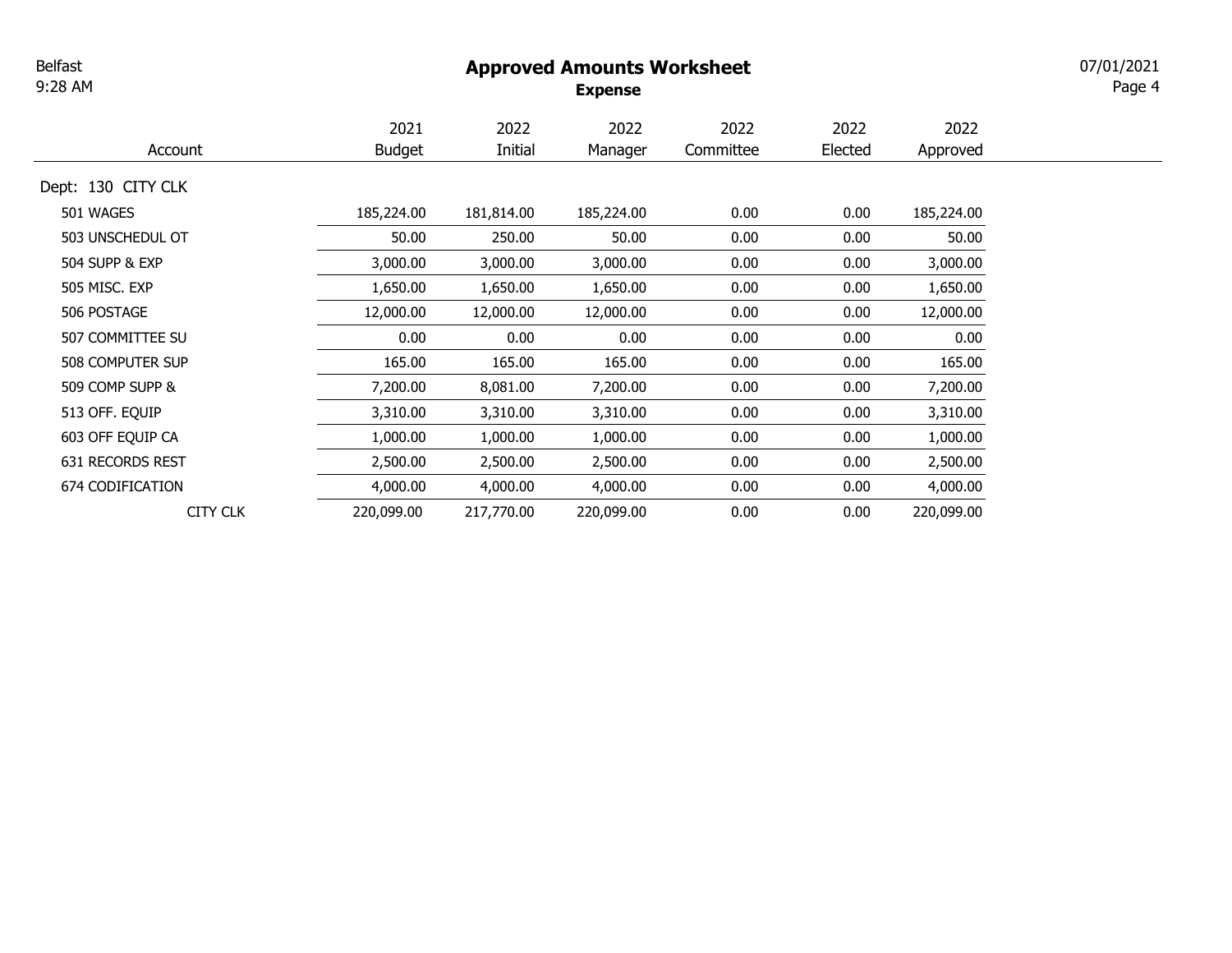# Approved Amounts Worksheet

Expense

Page 4 07/01/2021

|                    | 2021          | 2022       | 2022       | 2022      | 2022    | 2022       |
|--------------------|---------------|------------|------------|-----------|---------|------------|
| Account            | <b>Budget</b> | Initial    | Manager    | Committee | Elected | Approved   |
| Dept: 130 CITY CLK |               |            |            |           |         |            |
| 501 WAGES          | 185,224.00    | 181,814.00 | 185,224.00 | 0.00      | 0.00    | 185,224.00 |
| 503 UNSCHEDUL OT   | 50.00         | 250.00     | 50.00      | 0.00      | 0.00    | 50.00      |
| 504 SUPP & EXP     | 3,000.00      | 3,000.00   | 3,000.00   | 0.00      | 0.00    | 3,000.00   |
| 505 MISC, EXP      | 1,650.00      | 1,650.00   | 1,650.00   | 0.00      | 0.00    | 1,650.00   |
| 506 POSTAGE        | 12,000.00     | 12,000.00  | 12,000.00  | 0.00      | 0.00    | 12,000.00  |
| 507 COMMITTEE SU   | 0.00          | 0.00       | 0.00       | 0.00      | 0.00    | 0.00       |
| 508 COMPUTER SUP   | 165.00        | 165.00     | 165.00     | 0.00      | 0.00    | 165.00     |
| 509 COMP SUPP &    | 7,200.00      | 8,081.00   | 7,200.00   | 0.00      | 0.00    | 7,200.00   |
| 513 OFF. EQUIP     | 3,310.00      | 3,310.00   | 3,310.00   | 0.00      | 0.00    | 3,310.00   |
| 603 OFF EQUIP CA   | 1,000.00      | 1,000.00   | 1,000.00   | 0.00      | 0.00    | 1,000.00   |
| 631 RECORDS REST   | 2,500.00      | 2,500.00   | 2,500.00   | 0.00      | 0.00    | 2,500.00   |
| 674 CODIFICATION   | 4,000.00      | 4,000.00   | 4,000.00   | 0.00      | 0.00    | 4,000.00   |
| <b>CITY CLK</b>    | 220,099.00    | 217,770.00 | 220,099.00 | 0.00      | 0.00    | 220,099.00 |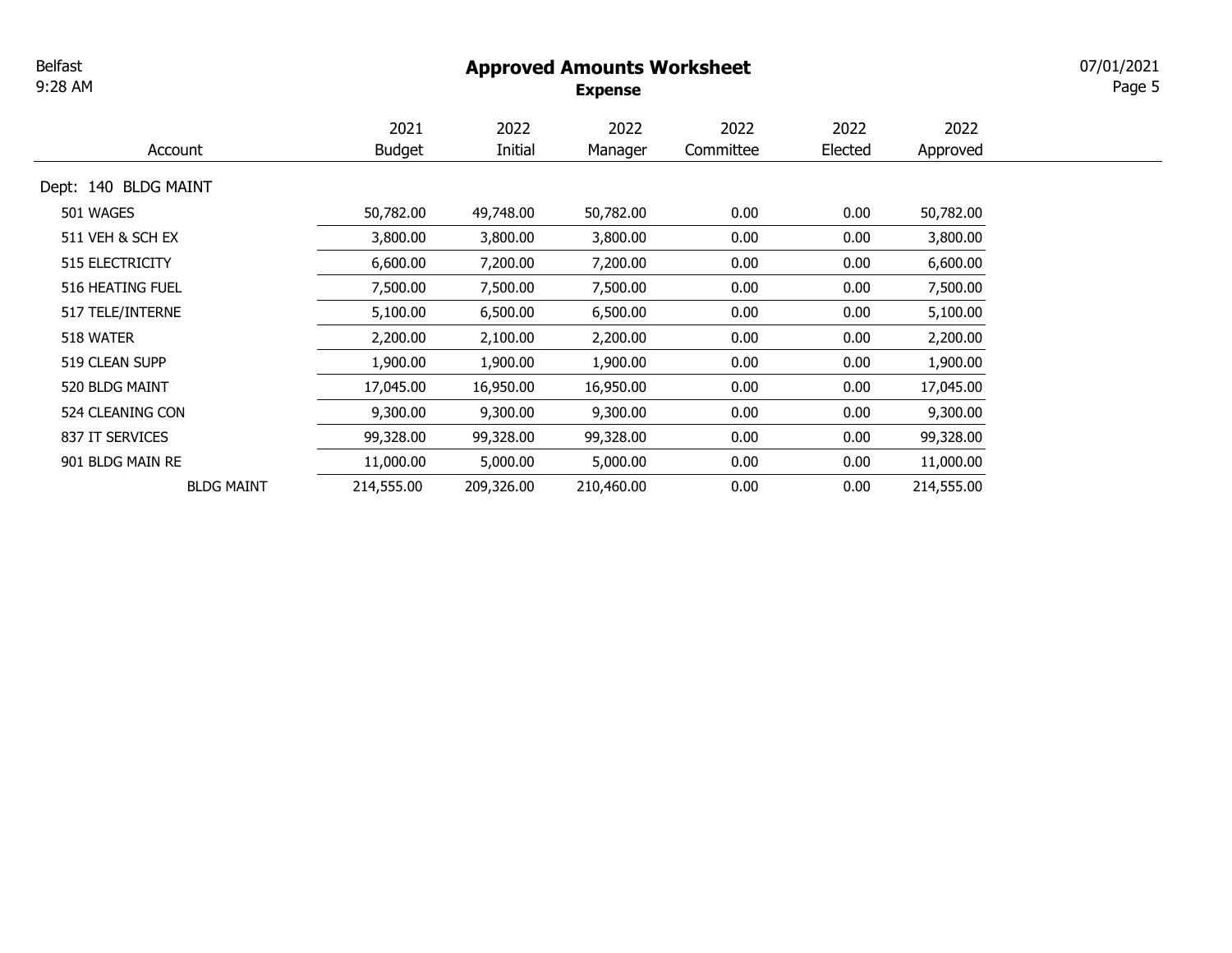### Approved Amounts Worksheet

Expense

Page 5 07/01/2021

|                         | 2021          | 2022       | 2022       | 2022      | 2022    | 2022       |
|-------------------------|---------------|------------|------------|-----------|---------|------------|
| Account                 | <b>Budget</b> | Initial    | Manager    | Committee | Elected | Approved   |
| Dept: 140 BLDG MAINT    |               |            |            |           |         |            |
| 501 WAGES               | 50,782.00     | 49,748.00  | 50,782.00  | 0.00      | 0.00    | 50,782.00  |
| 511 VEH & SCH EX        | 3,800.00      | 3,800.00   | 3,800.00   | 0.00      | 0.00    | 3,800.00   |
| 515 ELECTRICITY         | 6,600.00      | 7,200.00   | 7,200.00   | 0.00      | 0.00    | 6,600.00   |
| <b>516 HEATING FUEL</b> | 7,500.00      | 7,500.00   | 7,500.00   | 0.00      | 0.00    | 7,500.00   |
| 517 TELE/INTERNE        | 5,100.00      | 6,500.00   | 6,500.00   | 0.00      | 0.00    | 5,100.00   |
| 518 WATER               | 2,200.00      | 2,100.00   | 2,200.00   | 0.00      | 0.00    | 2,200.00   |
| 519 CLEAN SUPP          | 1,900.00      | 1,900.00   | 1,900.00   | 0.00      | 0.00    | 1,900.00   |
| 520 BLDG MAINT          | 17,045.00     | 16,950.00  | 16,950.00  | 0.00      | 0.00    | 17,045.00  |
| 524 CLEANING CON        | 9,300.00      | 9,300.00   | 9,300.00   | 0.00      | 0.00    | 9,300.00   |
| 837 IT SERVICES         | 99,328.00     | 99,328.00  | 99,328.00  | 0.00      | 0.00    | 99,328.00  |
| 901 BLDG MAIN RE        | 11,000.00     | 5,000.00   | 5,000.00   | 0.00      | 0.00    | 11,000.00  |
| <b>BLDG MAINT</b>       | 214,555.00    | 209,326.00 | 210,460.00 | 0.00      | 0.00    | 214,555.00 |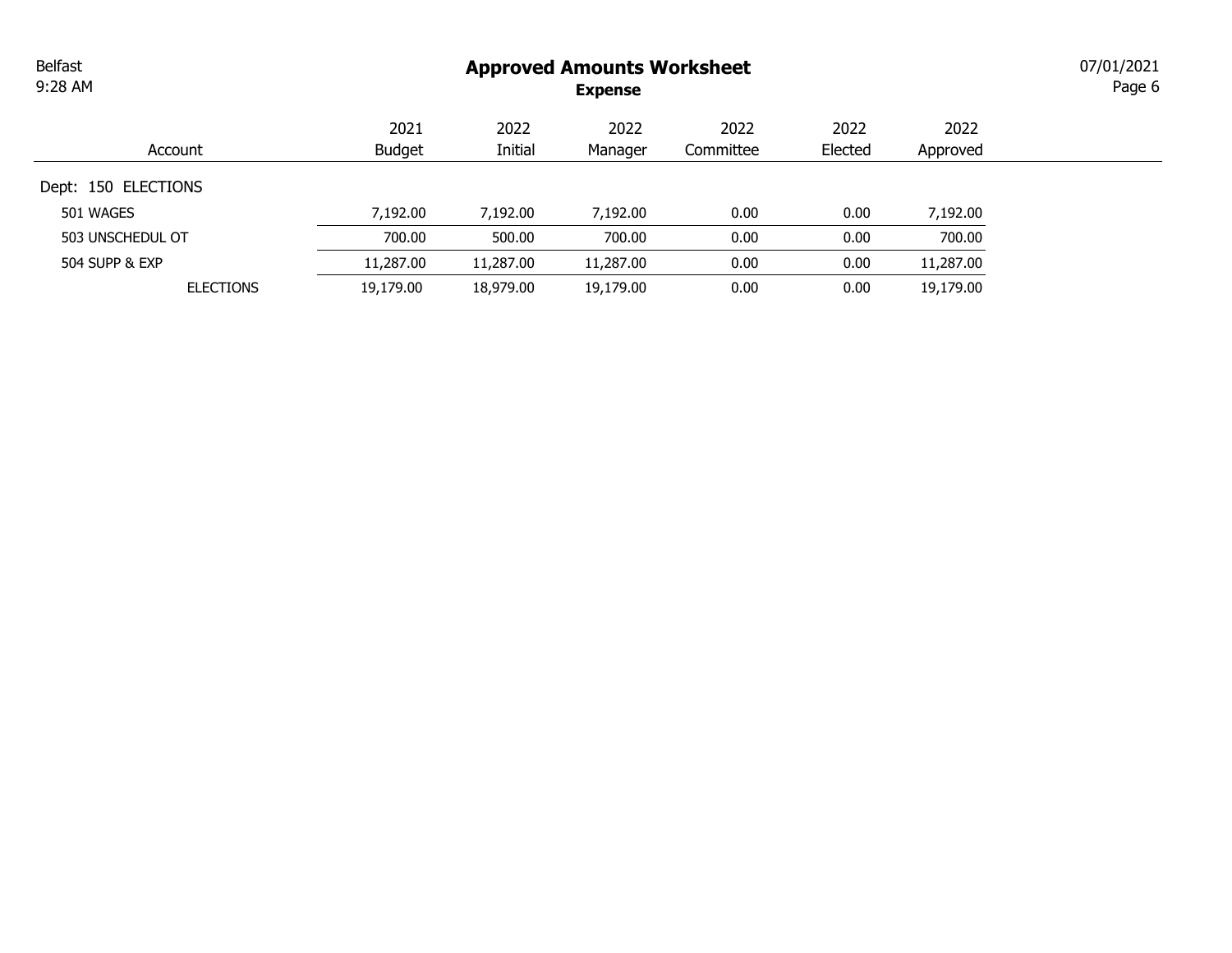### Approved Amounts Worksheet

Expense

Page 6 07/01/2021

| Account             | 2021<br><b>Budget</b> | 2022<br>Initial | 2022<br>Manager | 2022<br>Committee | 2022<br>Elected | 2022<br>Approved |
|---------------------|-----------------------|-----------------|-----------------|-------------------|-----------------|------------------|
| Dept: 150 ELECTIONS |                       |                 |                 |                   |                 |                  |
| 501 WAGES           | 7,192.00              | 7,192.00        | 7,192.00        | 0.00              | 0.00            | 7,192.00         |
| 503 UNSCHEDUL OT    | 700.00                | 500.00          | 700.00          | 0.00              | 0.00            | 700.00           |
| 504 SUPP & EXP      | 11,287.00             | 11,287.00       | 11,287.00       | 0.00              | 0.00            | 11,287.00        |
| <b>ELECTIONS</b>    | 19,179.00             | 18,979.00       | 19,179.00       | 0.00              | 0.00            | 19,179.00        |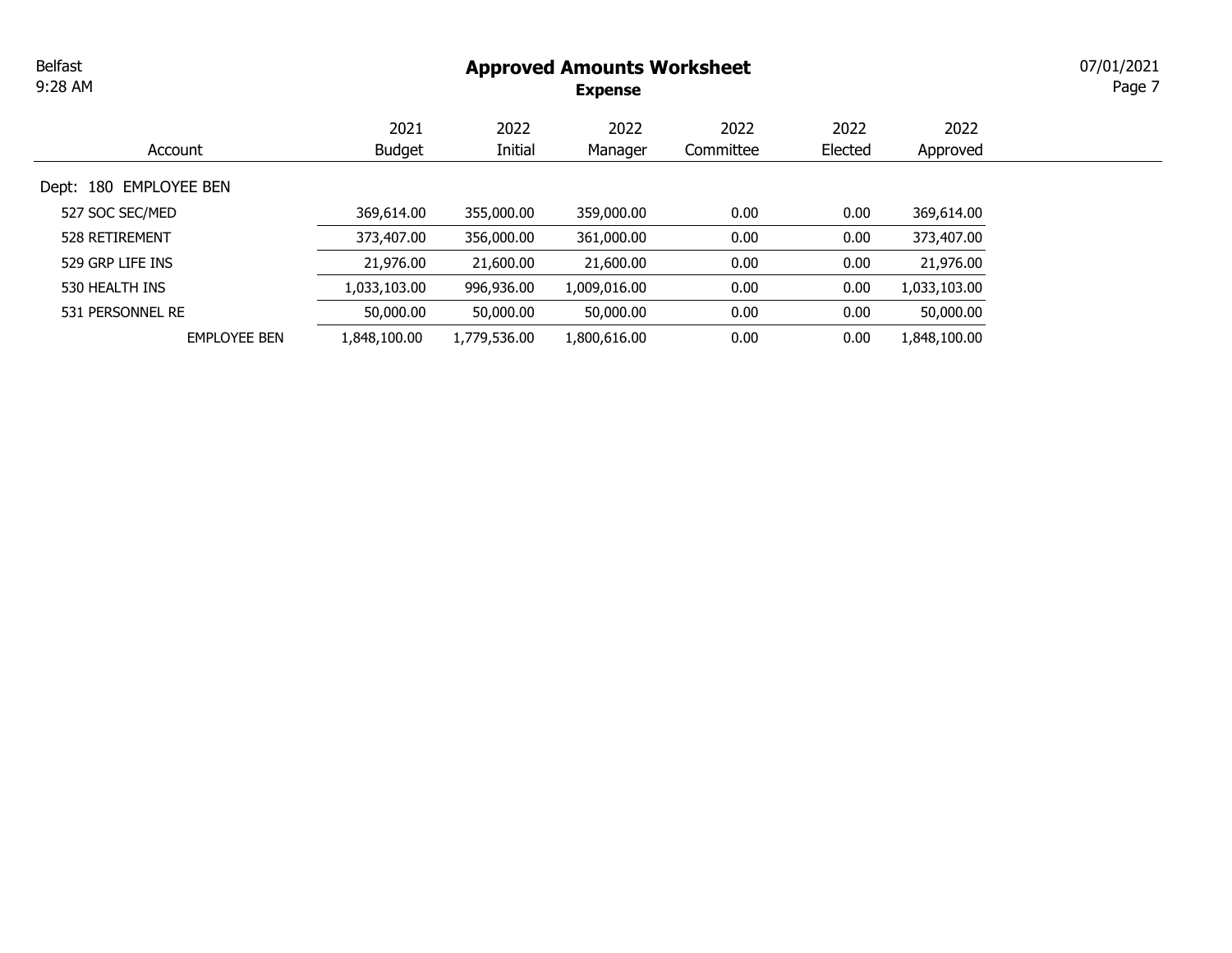# Approved Amounts Worksheet

Expense

Page 7 07/01/2021

| Account                | 2021<br><b>Budget</b> | 2022<br>Initial | 2022<br>Manager | 2022<br>Committee | 2022<br>Elected | 2022<br>Approved |
|------------------------|-----------------------|-----------------|-----------------|-------------------|-----------------|------------------|
| Dept: 180 EMPLOYEE BEN |                       |                 |                 |                   |                 |                  |
| 527 SOC SEC/MED        | 369,614.00            | 355,000.00      | 359,000.00      | 0.00              | 0.00            | 369,614.00       |
| 528 RETIREMENT         | 373,407.00            | 356,000.00      | 361,000.00      | 0.00              | 0.00            | 373,407.00       |
| 529 GRP LIFE INS       | 21,976.00             | 21,600.00       | 21,600.00       | 0.00              | 0.00            | 21,976.00        |
| 530 HEALTH INS         | 1,033,103.00          | 996,936.00      | 1,009,016.00    | 0.00              | 0.00            | 1,033,103.00     |
| 531 PERSONNEL RE       | 50,000.00             | 50,000.00       | 50,000.00       | 0.00              | 0.00            | 50,000.00        |
| <b>EMPLOYEE BEN</b>    | 1,848,100.00          | 1,779,536.00    | 1,800,616.00    | 0.00              | 0.00            | 1,848,100.00     |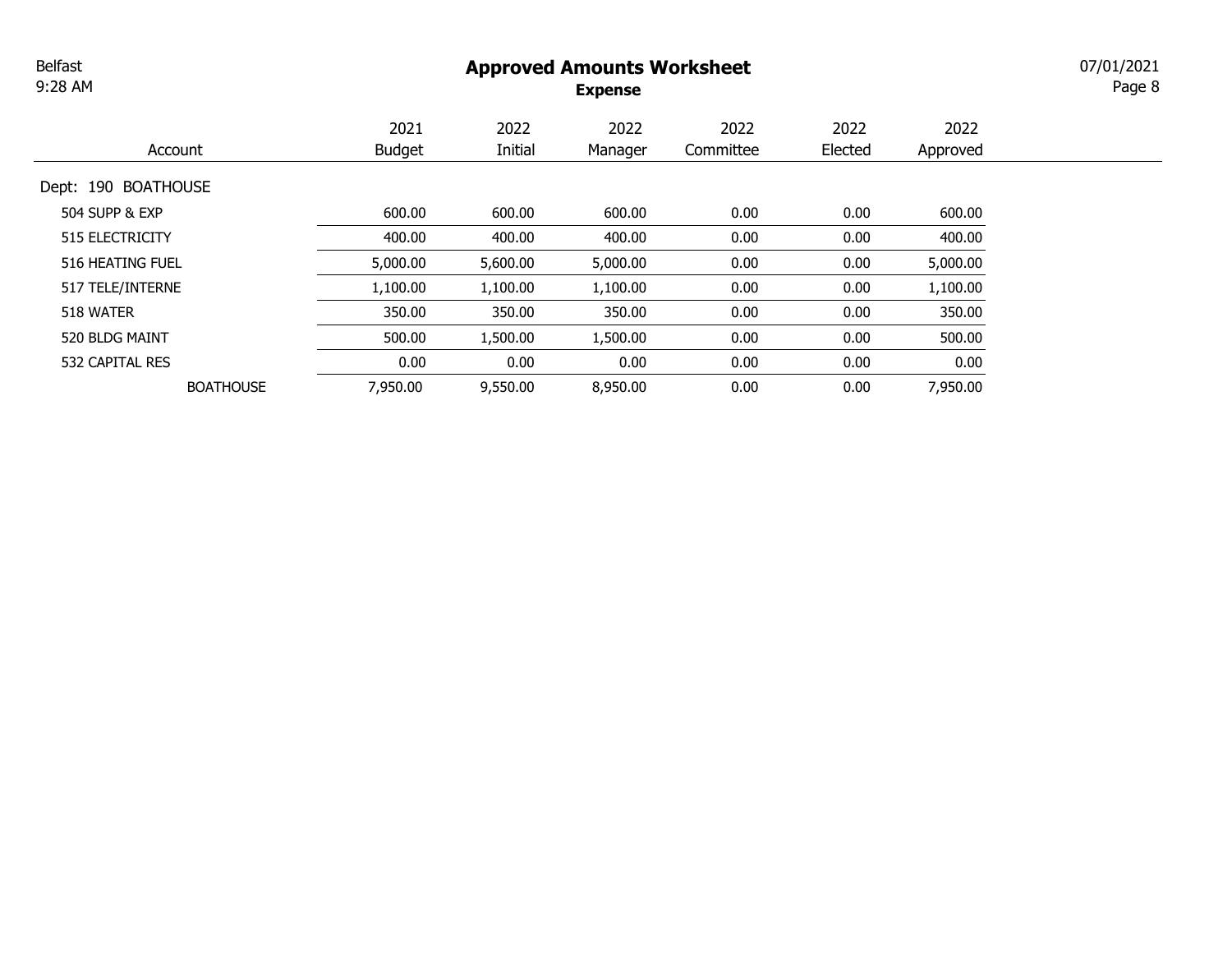### Approved Amounts Worksheet

Expense

Page 8 07/01/2021

|                     | 2021          | 2022     | 2022     | 2022      | 2022    | 2022     |
|---------------------|---------------|----------|----------|-----------|---------|----------|
| Account             | <b>Budget</b> | Initial  | Manager  | Committee | Elected | Approved |
| Dept: 190 BOATHOUSE |               |          |          |           |         |          |
| 504 SUPP & EXP      | 600.00        | 600.00   | 600.00   | 0.00      | 0.00    | 600.00   |
| 515 ELECTRICITY     | 400.00        | 400.00   | 400.00   | 0.00      | 0.00    | 400.00   |
| 516 HEATING FUEL    | 5,000.00      | 5,600.00 | 5,000.00 | 0.00      | 0.00    | 5,000.00 |
| 517 TELE/INTERNE    | 1,100.00      | 1,100.00 | 1,100.00 | 0.00      | 0.00    | 1,100.00 |
| 518 WATER           | 350.00        | 350.00   | 350.00   | 0.00      | 0.00    | 350.00   |
| 520 BLDG MAINT      | 500.00        | 1,500.00 | 1,500.00 | 0.00      | 0.00    | 500.00   |
| 532 CAPITAL RES     | 0.00          | 0.00     | 0.00     | 0.00      | 0.00    | 0.00     |
| <b>BOATHOUSE</b>    | 7,950.00      | 9,550.00 | 8,950.00 | 0.00      | 0.00    | 7,950.00 |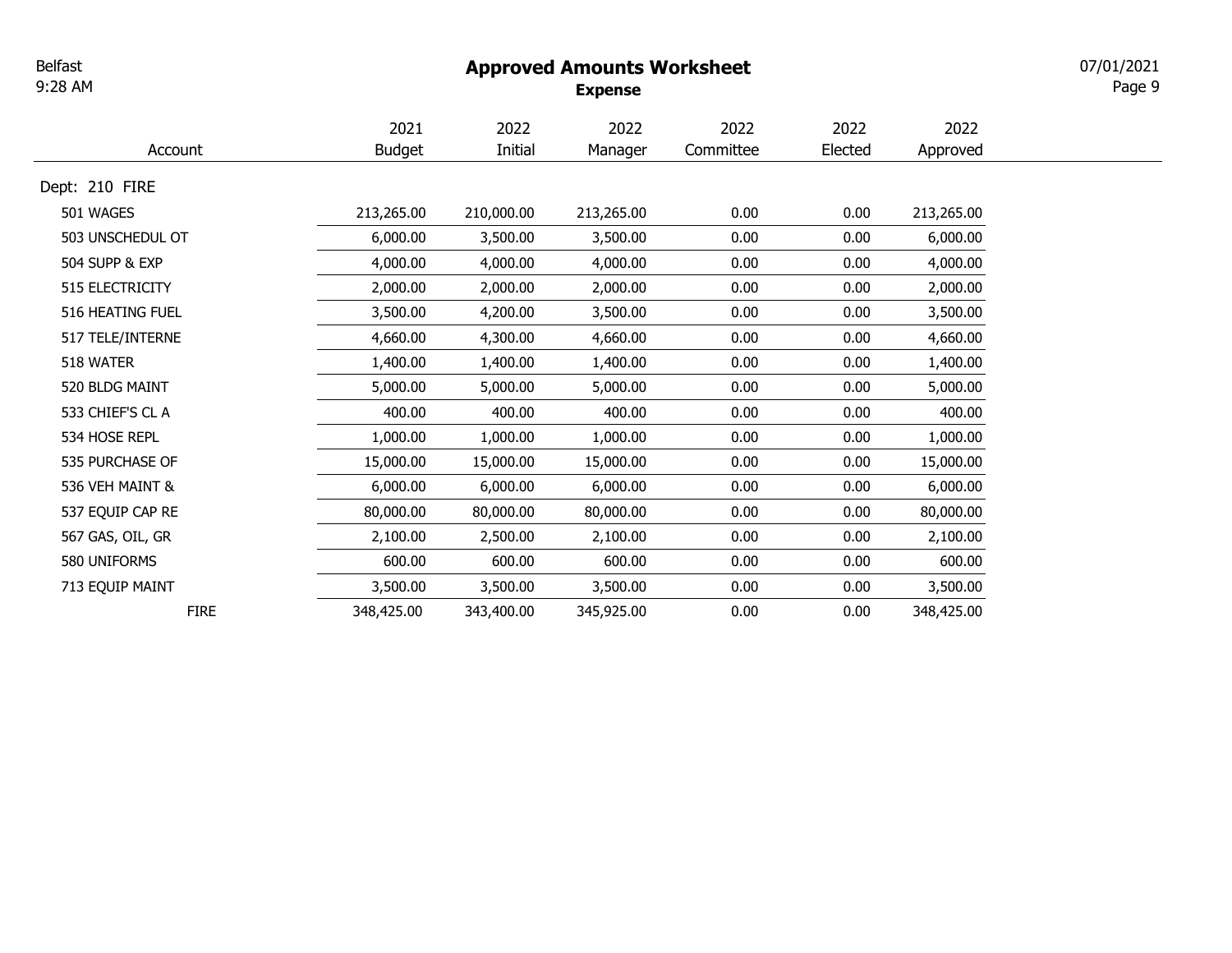# Approved Amounts Worksheet

Expense

Page 9 07/01/2021

| Account          | 2021<br><b>Budget</b> | 2022<br>Initial | 2022<br>Manager | 2022<br>Committee | 2022<br>Elected | 2022<br>Approved |
|------------------|-----------------------|-----------------|-----------------|-------------------|-----------------|------------------|
|                  |                       |                 |                 |                   |                 |                  |
| Dept: 210 FIRE   |                       |                 |                 |                   |                 |                  |
| 501 WAGES        | 213,265.00            | 210,000.00      | 213,265.00      | 0.00              | 0.00            | 213,265.00       |
| 503 UNSCHEDUL OT | 6,000.00              | 3,500.00        | 3,500.00        | 0.00              | 0.00            | 6,000.00         |
| 504 SUPP & EXP   | 4,000.00              | 4,000.00        | 4,000.00        | 0.00              | 0.00            | 4,000.00         |
| 515 ELECTRICITY  | 2,000.00              | 2,000.00        | 2,000.00        | 0.00              | 0.00            | 2,000.00         |
| 516 HEATING FUEL | 3,500.00              | 4,200.00        | 3,500.00        | 0.00              | 0.00            | 3,500.00         |
| 517 TELE/INTERNE | 4,660.00              | 4,300.00        | 4,660.00        | 0.00              | 0.00            | 4,660.00         |
| 518 WATER        | 1,400.00              | 1,400.00        | 1,400.00        | 0.00              | 0.00            | 1,400.00         |
| 520 BLDG MAINT   | 5,000.00              | 5,000.00        | 5,000.00        | 0.00              | 0.00            | 5,000.00         |
| 533 CHIEF'S CL A | 400.00                | 400.00          | 400.00          | 0.00              | 0.00            | 400.00           |
| 534 HOSE REPL    | 1,000.00              | 1,000.00        | 1,000.00        | 0.00              | 0.00            | 1,000.00         |
| 535 PURCHASE OF  | 15,000.00             | 15,000.00       | 15,000.00       | 0.00              | 0.00            | 15,000.00        |
| 536 VEH MAINT &  | 6,000.00              | 6,000.00        | 6,000.00        | 0.00              | 0.00            | 6,000.00         |
| 537 EQUIP CAP RE | 80,000.00             | 80,000.00       | 80,000.00       | 0.00              | 0.00            | 80,000.00        |
| 567 GAS, OIL, GR | 2,100.00              | 2,500.00        | 2,100.00        | 0.00              | 0.00            | 2,100.00         |
| 580 UNIFORMS     | 600.00                | 600.00          | 600.00          | 0.00              | 0.00            | 600.00           |
| 713 EQUIP MAINT  | 3,500.00              | 3,500.00        | 3,500.00        | 0.00              | 0.00            | 3,500.00         |
| <b>FIRE</b>      | 348,425.00            | 343,400.00      | 345,925.00      | 0.00              | 0.00            | 348,425.00       |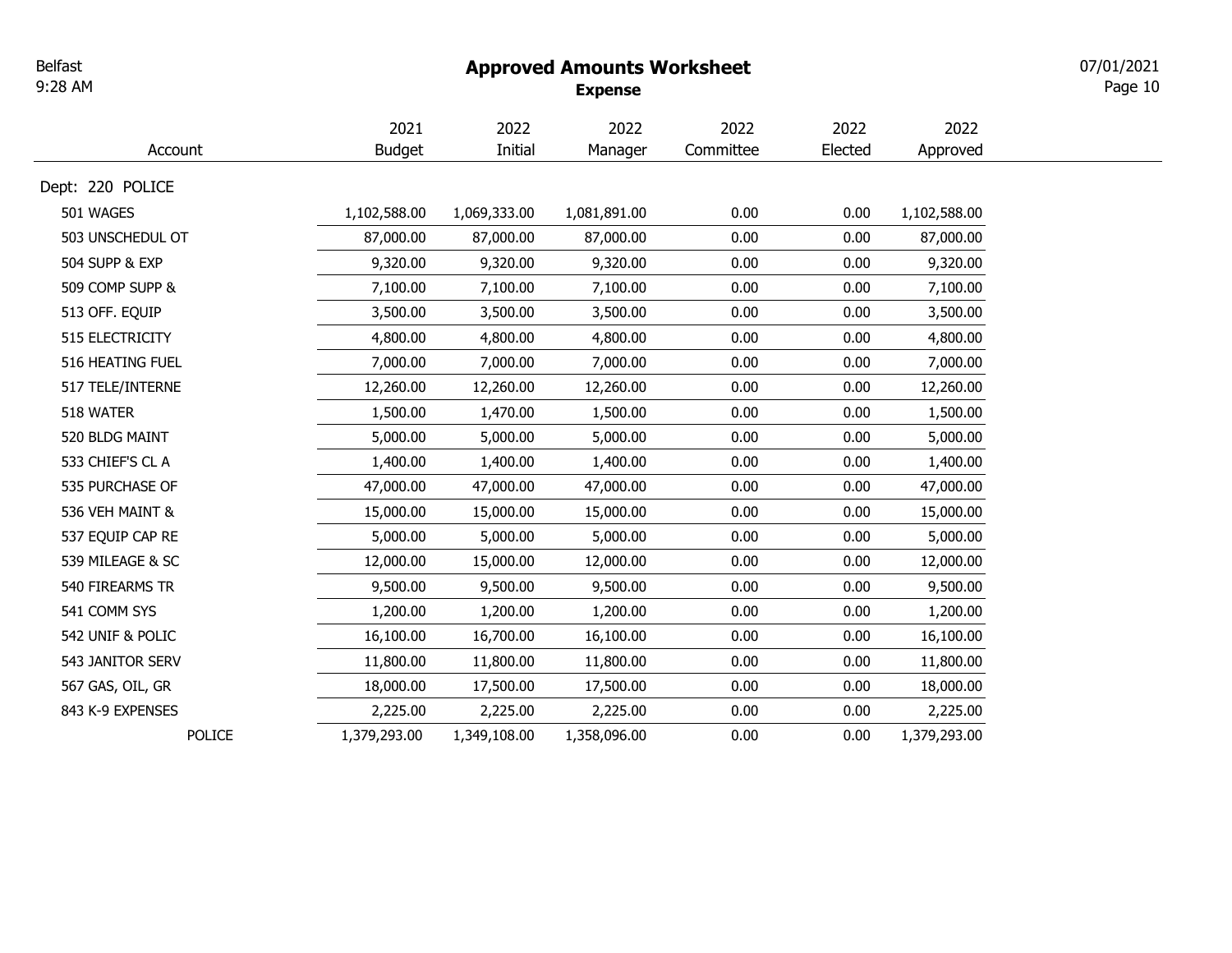Belfast

9:28 AM

# Approved Amounts Worksheet

Expense

Page 10 07/01/2021

|                  | 2021          | 2022         | 2022         | 2022      | 2022    | 2022         |
|------------------|---------------|--------------|--------------|-----------|---------|--------------|
| Account          | <b>Budget</b> | Initial      | Manager      | Committee | Elected | Approved     |
| Dept: 220 POLICE |               |              |              |           |         |              |
| 501 WAGES        | 1,102,588.00  | 1,069,333.00 | 1,081,891.00 | 0.00      | 0.00    | 1,102,588.00 |
| 503 UNSCHEDUL OT | 87,000.00     | 87,000.00    | 87,000.00    | 0.00      | 0.00    | 87,000.00    |
| 504 SUPP & EXP   | 9,320.00      | 9,320.00     | 9,320.00     | 0.00      | 0.00    | 9,320.00     |
| 509 COMP SUPP &  | 7,100.00      | 7,100.00     | 7,100.00     | 0.00      | 0.00    | 7,100.00     |
| 513 OFF. EQUIP   | 3,500.00      | 3,500.00     | 3,500.00     | 0.00      | 0.00    | 3,500.00     |
| 515 ELECTRICITY  | 4,800.00      | 4,800.00     | 4,800.00     | 0.00      | 0.00    | 4,800.00     |
| 516 HEATING FUEL | 7,000.00      | 7,000.00     | 7,000.00     | 0.00      | 0.00    | 7,000.00     |
| 517 TELE/INTERNE | 12,260.00     | 12,260.00    | 12,260.00    | 0.00      | 0.00    | 12,260.00    |
| 518 WATER        | 1,500.00      | 1,470.00     | 1,500.00     | 0.00      | 0.00    | 1,500.00     |
| 520 BLDG MAINT   | 5,000.00      | 5,000.00     | 5,000.00     | 0.00      | 0.00    | 5,000.00     |
| 533 CHIEF'S CL A | 1,400.00      | 1,400.00     | 1,400.00     | 0.00      | 0.00    | 1,400.00     |
| 535 PURCHASE OF  | 47,000.00     | 47,000.00    | 47,000.00    | 0.00      | 0.00    | 47,000.00    |
| 536 VEH MAINT &  | 15,000.00     | 15,000.00    | 15,000.00    | 0.00      | 0.00    | 15,000.00    |
| 537 EQUIP CAP RE | 5,000.00      | 5,000.00     | 5,000.00     | 0.00      | 0.00    | 5,000.00     |
| 539 MILEAGE & SC | 12,000.00     | 15,000.00    | 12,000.00    | 0.00      | 0.00    | 12,000.00    |
| 540 FIREARMS TR  | 9,500.00      | 9,500.00     | 9,500.00     | 0.00      | 0.00    | 9,500.00     |
| 541 COMM SYS     | 1,200.00      | 1,200.00     | 1,200.00     | 0.00      | 0.00    | 1,200.00     |
| 542 UNIF & POLIC | 16,100.00     | 16,700.00    | 16,100.00    | 0.00      | 0.00    | 16,100.00    |
| 543 JANITOR SERV | 11,800.00     | 11,800.00    | 11,800.00    | 0.00      | 0.00    | 11,800.00    |
| 567 GAS, OIL, GR | 18,000.00     | 17,500.00    | 17,500.00    | 0.00      | 0.00    | 18,000.00    |
| 843 K-9 EXPENSES | 2,225.00      | 2,225.00     | 2,225.00     | 0.00      | 0.00    | 2,225.00     |
| POLICE           | 1,379,293.00  | 1,349,108.00 | 1,358,096.00 | 0.00      | 0.00    | 1,379,293.00 |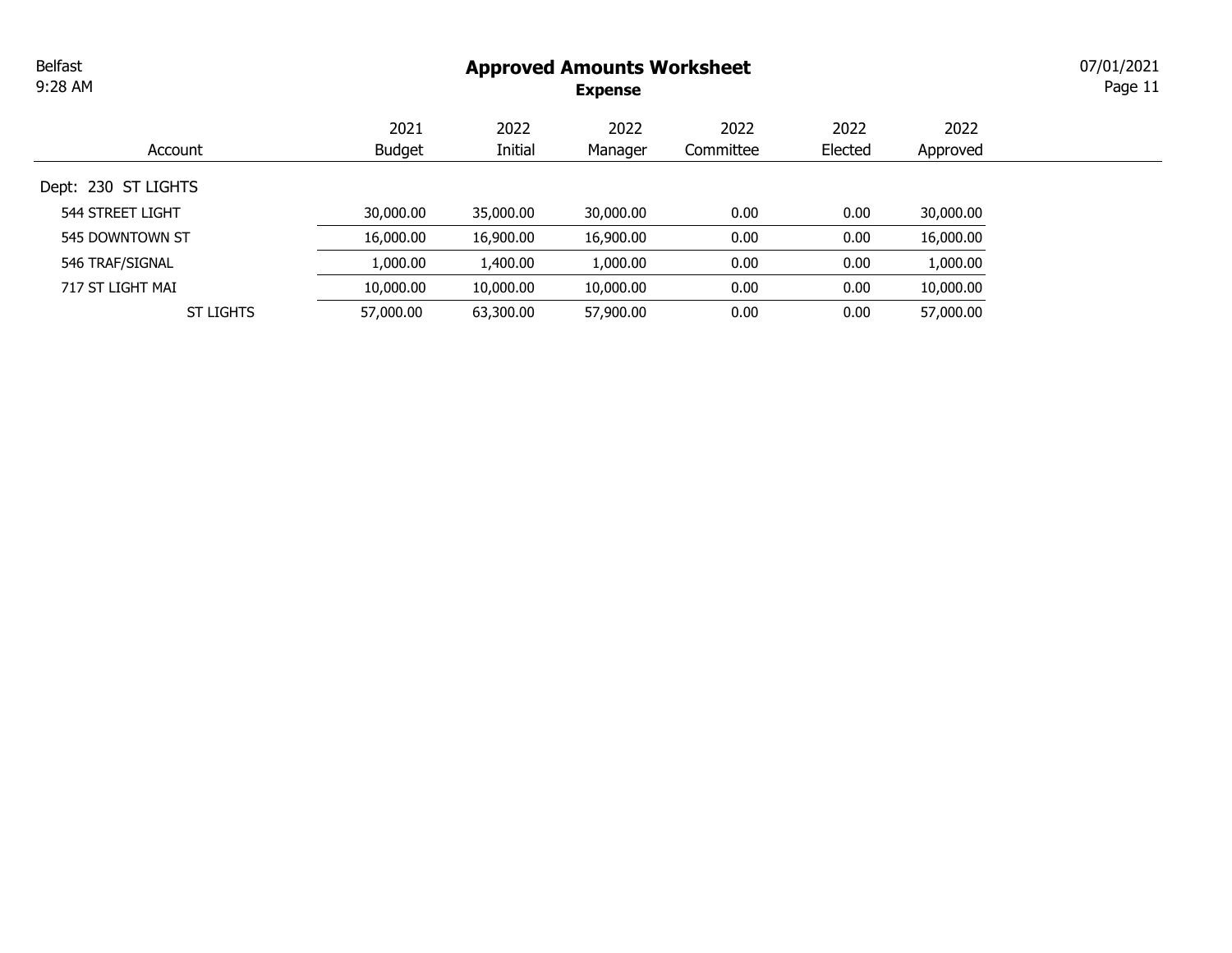Approved Amounts Worksheet

Expense

Page 11 07/01/2021

| Account                 | 2021<br><b>Budget</b> | 2022<br>Initial | 2022<br>Manager | 2022<br>Committee | 2022<br>Elected | 2022<br>Approved |
|-------------------------|-----------------------|-----------------|-----------------|-------------------|-----------------|------------------|
| Dept: 230 ST LIGHTS     |                       |                 |                 |                   |                 |                  |
| <b>544 STREET LIGHT</b> | 30,000.00             | 35,000,00       | 30,000.00       | 0.00              | 0.00            | 30,000.00        |
| 545 DOWNTOWN ST         | 16,000.00             | 16,900.00       | 16,900.00       | 0.00              | 0.00            | 16,000.00        |
| 546 TRAF/SIGNAL         | 1,000.00              | 1,400.00        | 1,000.00        | 0.00              | 0.00            | 1,000.00         |
| 717 ST LIGHT MAI        | 10,000.00             | 10,000.00       | 10,000.00       | 0.00              | 0.00            | 10,000.00        |
| <b>ST LIGHTS</b>        | 57,000.00             | 63,300.00       | 57,900.00       | 0.00              | 0.00            | 57,000.00        |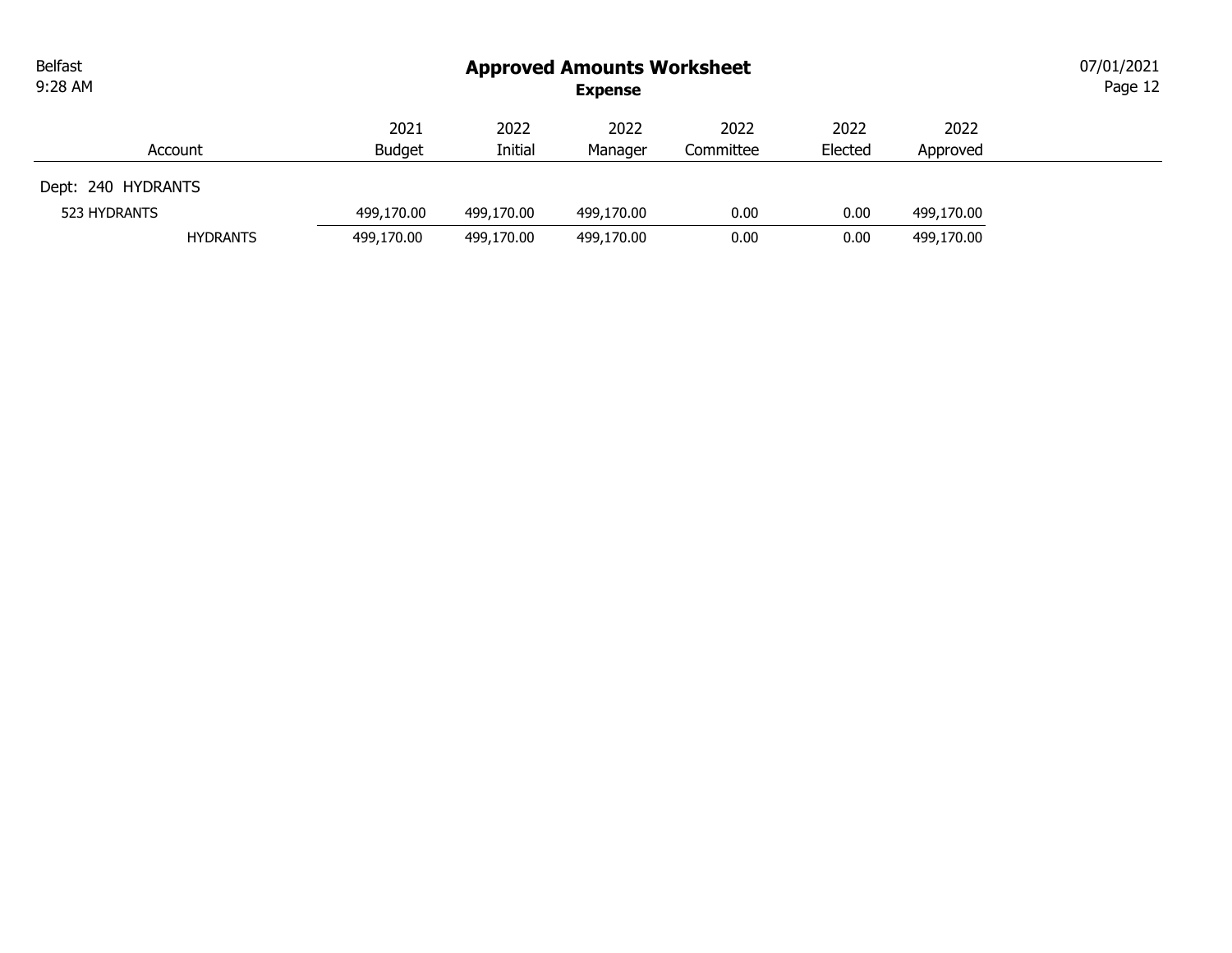| <b>Belfast</b><br>9:28 AM |               | <b>Approved Amounts Worksheet</b><br><b>Expense</b> |            |           |         |            |  |  |
|---------------------------|---------------|-----------------------------------------------------|------------|-----------|---------|------------|--|--|
|                           | 2021          | 2022                                                | 2022       | 2022      | 2022    | 2022       |  |  |
| Account                   | <b>Budget</b> | Initial                                             | Manager    | Committee | Elected | Approved   |  |  |
| Dept: 240 HYDRANTS        |               |                                                     |            |           |         |            |  |  |
| 523 HYDRANTS              | 499,170.00    | 499,170.00                                          | 499,170.00 | 0.00      | 0.00    | 499,170.00 |  |  |
| <b>HYDRANTS</b>           | 499,170.00    | 499,170.00                                          | 499,170.00 | 0.00      | 0.00    | 499,170.00 |  |  |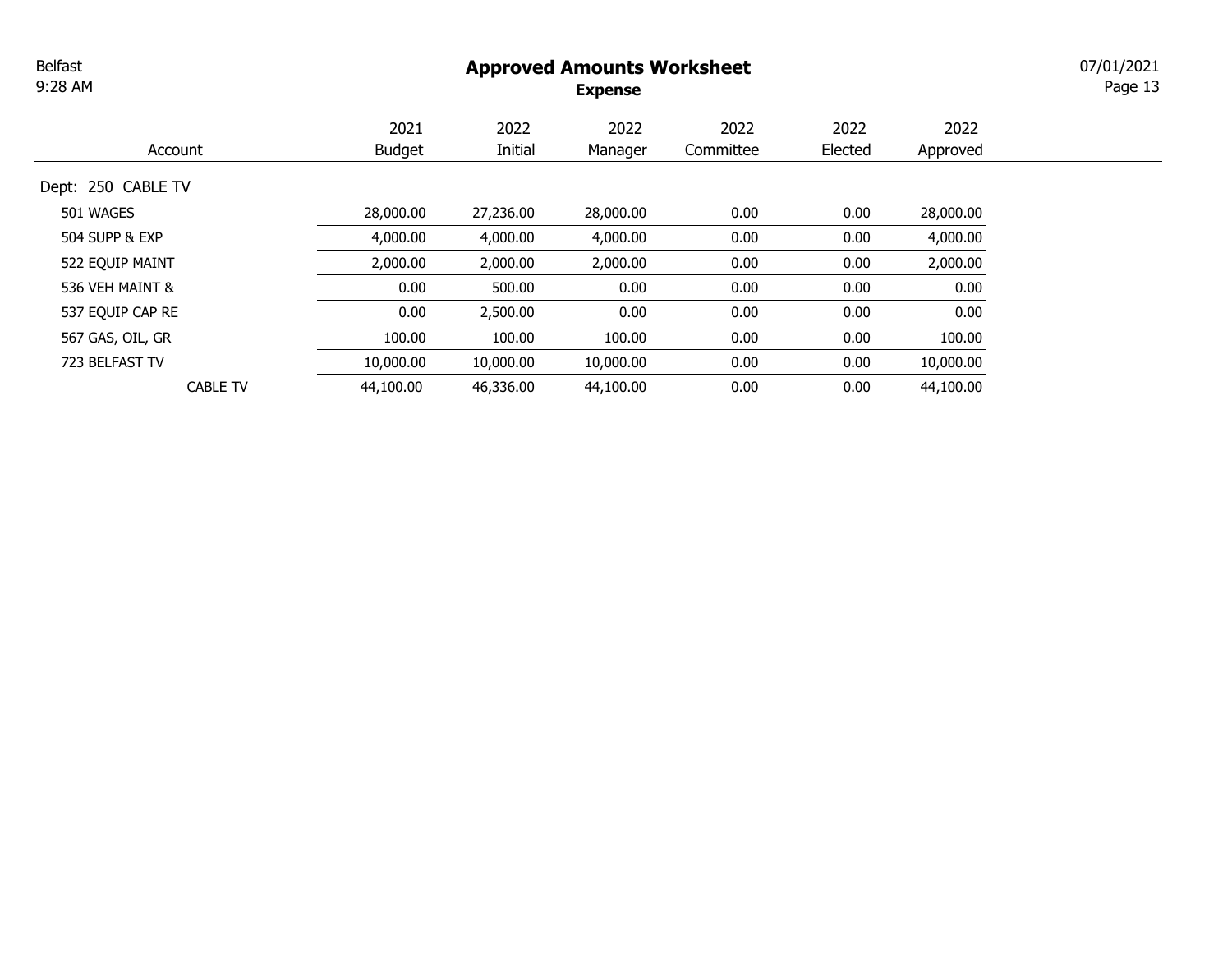### Approved Amounts Worksheet

Expense

Page 13 07/01/2021

| Account            | 2021<br><b>Budget</b> | 2022<br>Initial | 2022<br>Manager | 2022<br>Committee | 2022<br>Elected | 2022<br>Approved |
|--------------------|-----------------------|-----------------|-----------------|-------------------|-----------------|------------------|
| Dept: 250 CABLE TV |                       |                 |                 |                   |                 |                  |
| 501 WAGES          | 28,000.00             | 27,236.00       | 28,000.00       | 0.00              | 0.00            | 28,000.00        |
| 504 SUPP & EXP     | 4,000.00              | 4,000.00        | 4,000.00        | 0.00              | 0.00            | 4,000.00         |
| 522 EQUIP MAINT    | 2,000.00              | 2,000.00        | 2,000.00        | 0.00              | 0.00            | 2,000.00         |
| 536 VEH MAINT &    | 0.00                  | 500.00          | 0.00            | 0.00              | 0.00            | 0.00             |
| 537 EQUIP CAP RE   | 0.00                  | 2,500.00        | 0.00            | 0.00              | 0.00            | 0.00             |
| 567 GAS, OIL, GR   | 100.00                | 100.00          | 100.00          | 0.00              | 0.00            | 100.00           |
| 723 BELFAST TV     | 10,000.00             | 10,000.00       | 10,000.00       | 0.00              | 0.00            | 10,000.00        |
| <b>CABLE TV</b>    | 44,100.00             | 46,336.00       | 44,100.00       | 0.00              | 0.00            | 44,100.00        |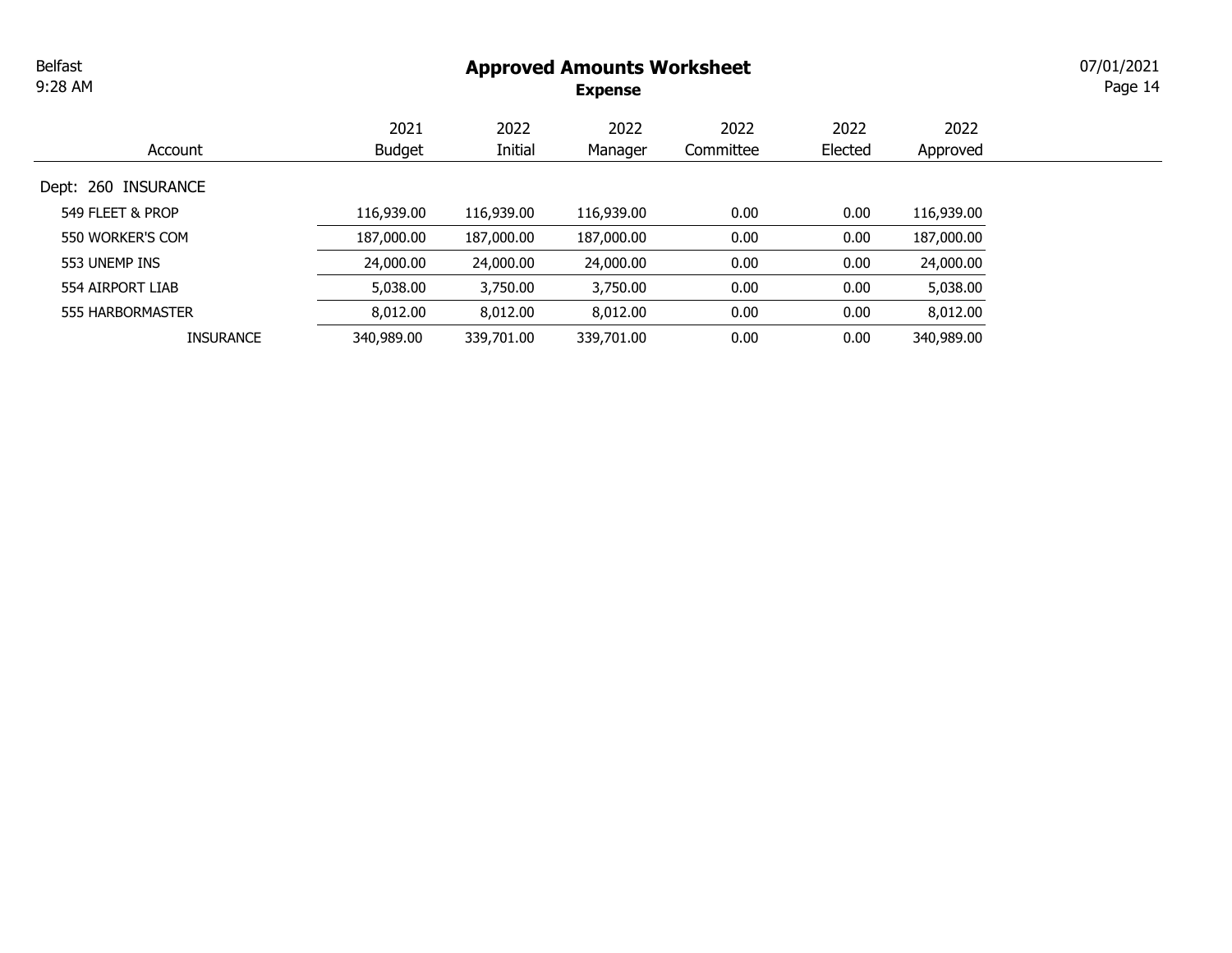### Approved Amounts Worksheet

Expense

Page 14 07/01/2021

| Account             | 2021<br><b>Budget</b> | 2022<br>Initial | 2022<br>Manager | 2022<br>Committee | 2022<br>Elected | 2022<br>Approved |
|---------------------|-----------------------|-----------------|-----------------|-------------------|-----------------|------------------|
| Dept: 260 INSURANCE |                       |                 |                 |                   |                 |                  |
| 549 FLEET & PROP    | 116,939.00            | 116,939.00      | 116,939.00      | 0.00              | 0.00            | 116,939.00       |
| 550 WORKER'S COM    | 187,000.00            | 187,000.00      | 187,000.00      | 0.00              | 0.00            | 187,000.00       |
| 553 UNEMP INS       | 24,000.00             | 24,000.00       | 24,000.00       | 0.00              | 0.00            | 24,000.00        |
| 554 AIRPORT LIAB    | 5,038.00              | 3,750.00        | 3,750.00        | 0.00              | 0.00            | 5,038.00         |
| 555 HARBORMASTER    | 8,012.00              | 8,012.00        | 8,012.00        | 0.00              | 0.00            | 8,012.00         |
| <b>INSURANCE</b>    | 340,989.00            | 339,701.00      | 339,701.00      | 0.00              | 0.00            | 340,989.00       |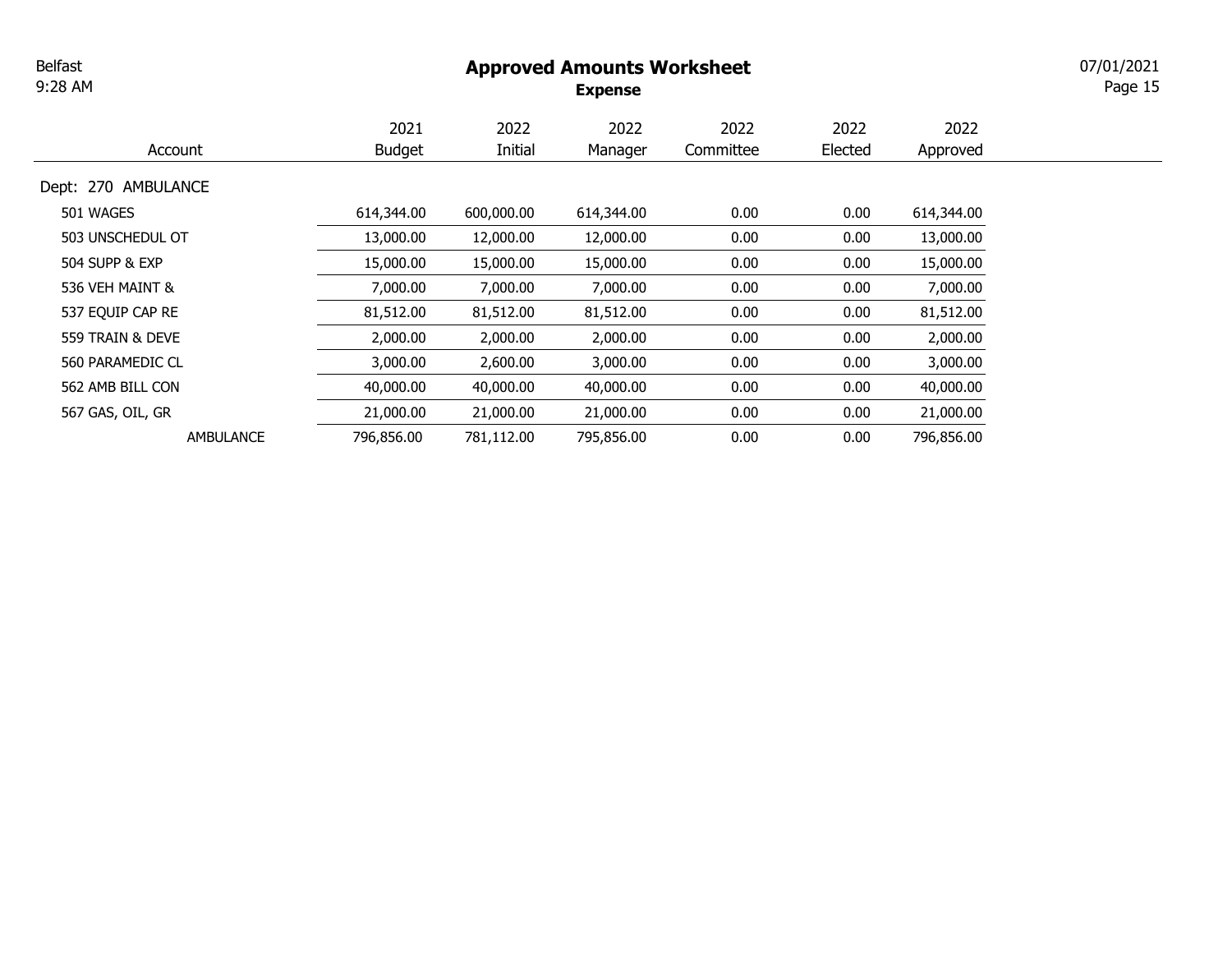# Approved Amounts Worksheet

Expense

Page 15 07/01/2021

|                     | 2021          | 2022       | 2022       | 2022      | 2022    | 2022       |
|---------------------|---------------|------------|------------|-----------|---------|------------|
| Account             | <b>Budget</b> | Initial    | Manager    | Committee | Elected | Approved   |
| Dept: 270 AMBULANCE |               |            |            |           |         |            |
| 501 WAGES           | 614,344.00    | 600,000.00 | 614,344.00 | 0.00      | 0.00    | 614,344.00 |
| 503 UNSCHEDUL OT    | 13,000.00     | 12,000.00  | 12,000.00  | 0.00      | 0.00    | 13,000.00  |
| 504 SUPP & EXP      | 15,000.00     | 15,000.00  | 15,000.00  | 0.00      | 0.00    | 15,000.00  |
| 536 VEH MAINT &     | 7,000.00      | 7,000.00   | 7,000.00   | 0.00      | 0.00    | 7,000.00   |
| 537 EQUIP CAP RE    | 81,512.00     | 81,512.00  | 81,512.00  | 0.00      | 0.00    | 81,512.00  |
| 559 TRAIN & DEVE    | 2,000.00      | 2,000.00   | 2,000.00   | 0.00      | 0.00    | 2,000.00   |
| 560 PARAMEDIC CL    | 3,000.00      | 2,600.00   | 3,000.00   | 0.00      | 0.00    | 3,000.00   |
| 562 AMB BILL CON    | 40,000.00     | 40,000.00  | 40,000.00  | 0.00      | 0.00    | 40,000.00  |
| 567 GAS, OIL, GR    | 21,000.00     | 21,000.00  | 21,000.00  | 0.00      | 0.00    | 21,000.00  |
| <b>AMBULANCE</b>    | 796,856.00    | 781,112.00 | 795,856.00 | 0.00      | 0.00    | 796,856.00 |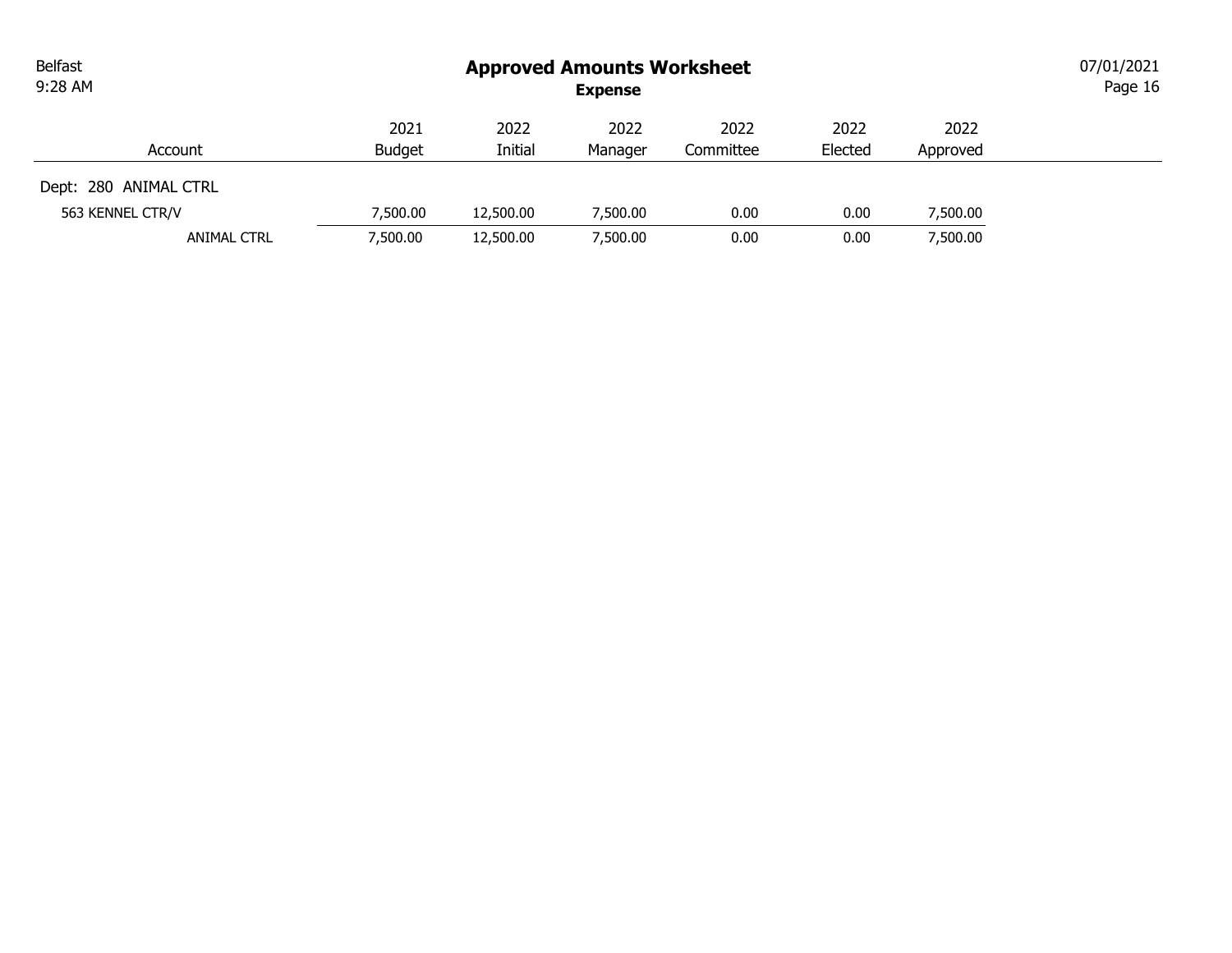| <b>Belfast</b><br>9:28 AM | <b>Approved Amounts Worksheet</b><br><b>Expense</b> |           |          |           |         |          |  |
|---------------------------|-----------------------------------------------------|-----------|----------|-----------|---------|----------|--|
|                           | 2021                                                | 2022      | 2022     | 2022      | 2022    | 2022     |  |
| Account                   | <b>Budget</b>                                       | Initial   | Manager  | Committee | Elected | Approved |  |
| Dept: 280 ANIMAL CTRL     |                                                     |           |          |           |         |          |  |
| 563 KENNEL CTR/V          | 7,500.00                                            | 12,500.00 | 7,500.00 | 0.00      | 0.00    | 7,500.00 |  |
| <b>ANIMAL CTRL</b>        | 7,500.00                                            | 12,500.00 | 7,500.00 | 0.00      | 0.00    | 7,500.00 |  |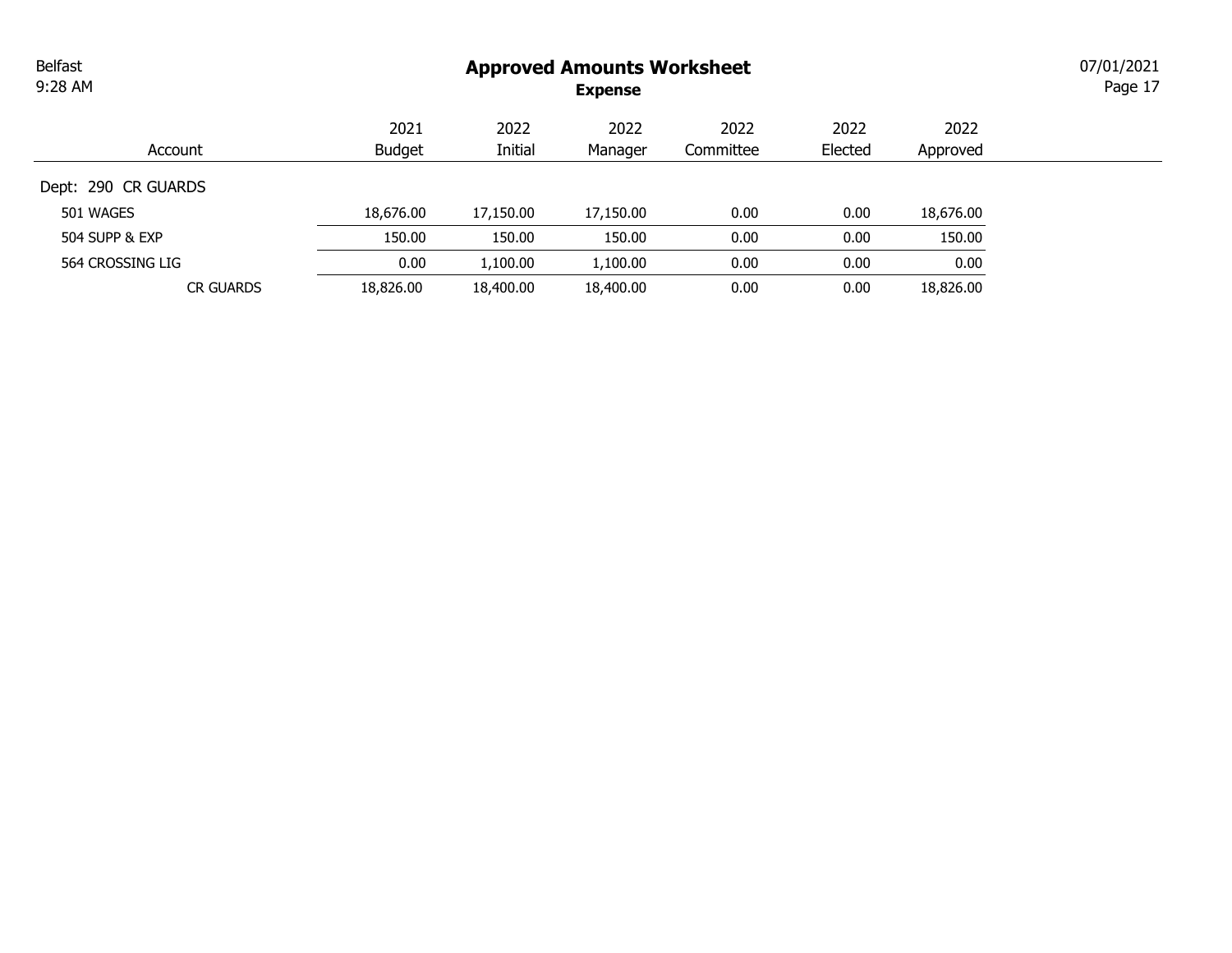# Approved Amounts Worksheet

Expense

Page 17 07/01/2021

| Account             | 2021<br><b>Budget</b> | 2022<br>Initial | 2022<br>Manager | 2022<br>Committee | 2022<br>Elected | 2022<br>Approved |
|---------------------|-----------------------|-----------------|-----------------|-------------------|-----------------|------------------|
| Dept: 290 CR GUARDS |                       |                 |                 |                   |                 |                  |
| 501 WAGES           | 18,676,00             | 17,150.00       | 17,150.00       | 0.00              | 0.00            | 18,676.00        |
| 504 SUPP & EXP      | 150.00                | 150.00          | 150.00          | 0.00              | 0.00            | 150.00           |
| 564 CROSSING LIG    | 0.00                  | 1,100.00        | 1,100.00        | 0.00              | 0.00            | 0.00             |
| <b>CR GUARDS</b>    | 18,826.00             | 18,400.00       | 18,400.00       | 0.00              | 0.00            | 18,826.00        |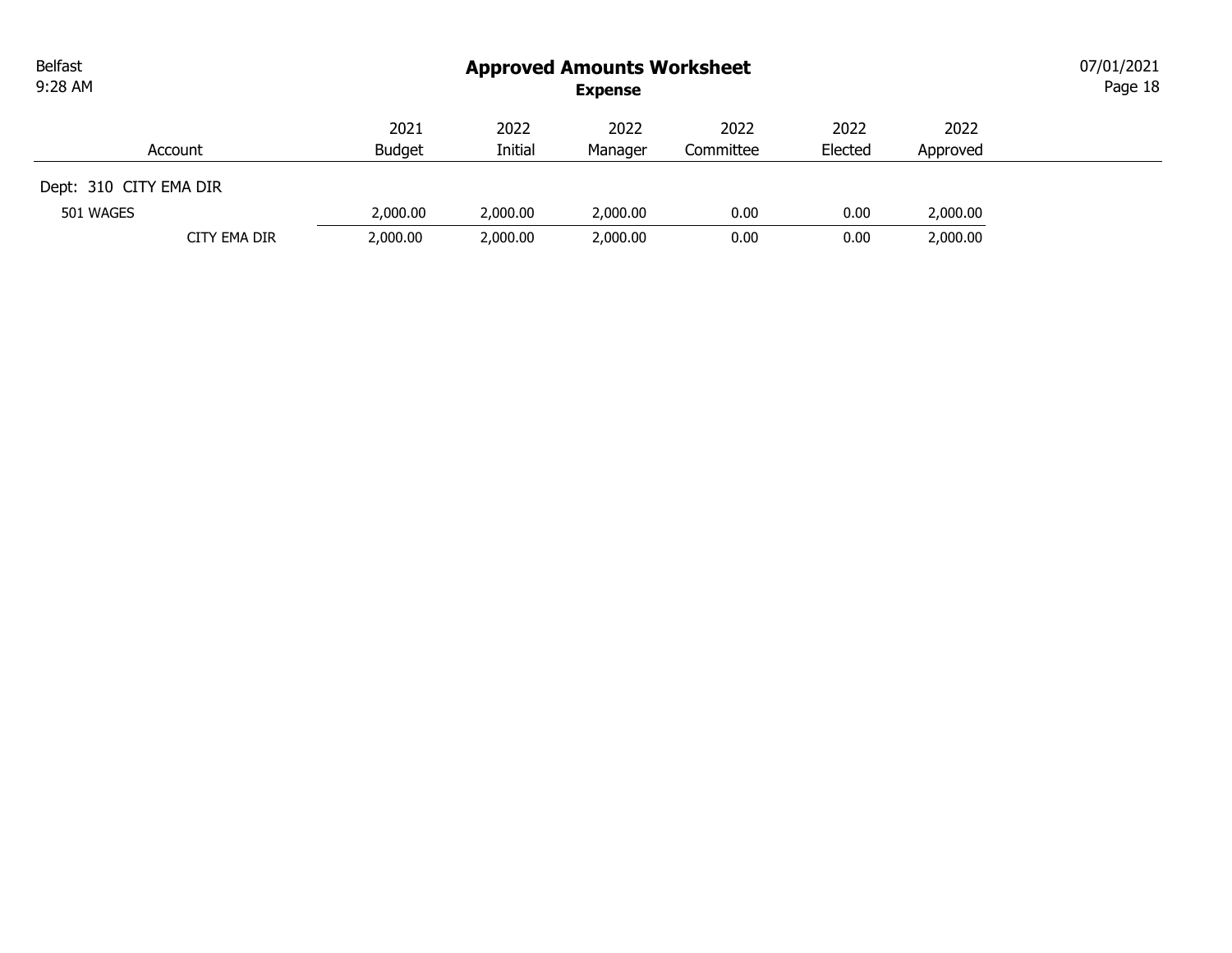| <b>Belfast</b><br>9:28 AM |              | <b>Approved Amounts Worksheet</b><br><b>Expense</b> |          |          |           |         |          |  |
|---------------------------|--------------|-----------------------------------------------------|----------|----------|-----------|---------|----------|--|
|                           |              | 2021                                                | 2022     | 2022     | 2022      | 2022    | 2022     |  |
|                           | Account      | <b>Budget</b>                                       | Initial  | Manager  | Committee | Elected | Approved |  |
| Dept: 310 CITY EMA DIR    |              |                                                     |          |          |           |         |          |  |
| 501 WAGES                 |              | 2,000.00                                            | 2,000.00 | 2,000.00 | 0.00      | 0.00    | 2,000.00 |  |
|                           | CITY EMA DIR | 2,000.00                                            | 2,000.00 | 2,000.00 | 0.00      | 0.00    | 2,000.00 |  |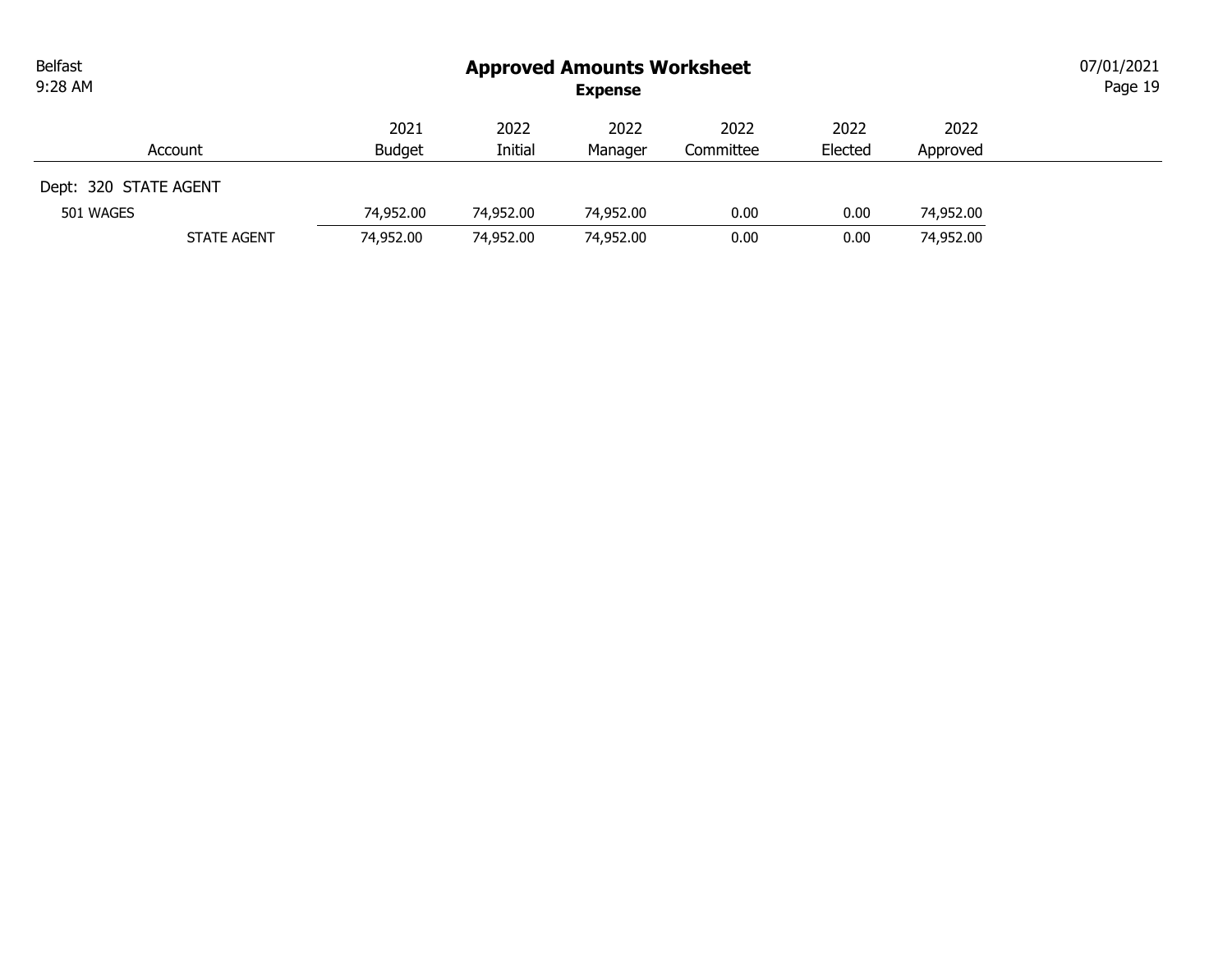| <b>Belfast</b><br>9:28 AM |             | <b>Approved Amounts Worksheet</b><br><b>Expense</b> |           |           |           |         |           |  |
|---------------------------|-------------|-----------------------------------------------------|-----------|-----------|-----------|---------|-----------|--|
|                           |             | 2021                                                | 2022      | 2022      | 2022      | 2022    | 2022      |  |
|                           | Account     | <b>Budget</b>                                       | Initial   | Manager   | Committee | Elected | Approved  |  |
| Dept: 320 STATE AGENT     |             |                                                     |           |           |           |         |           |  |
| 501 WAGES                 |             | 74,952,00                                           | 74,952.00 | 74,952,00 | 0.00      | 0.00    | 74,952.00 |  |
|                           | STATE AGENT | 74,952.00                                           | 74,952.00 | 74,952.00 | 0.00      | 0.00    | 74,952.00 |  |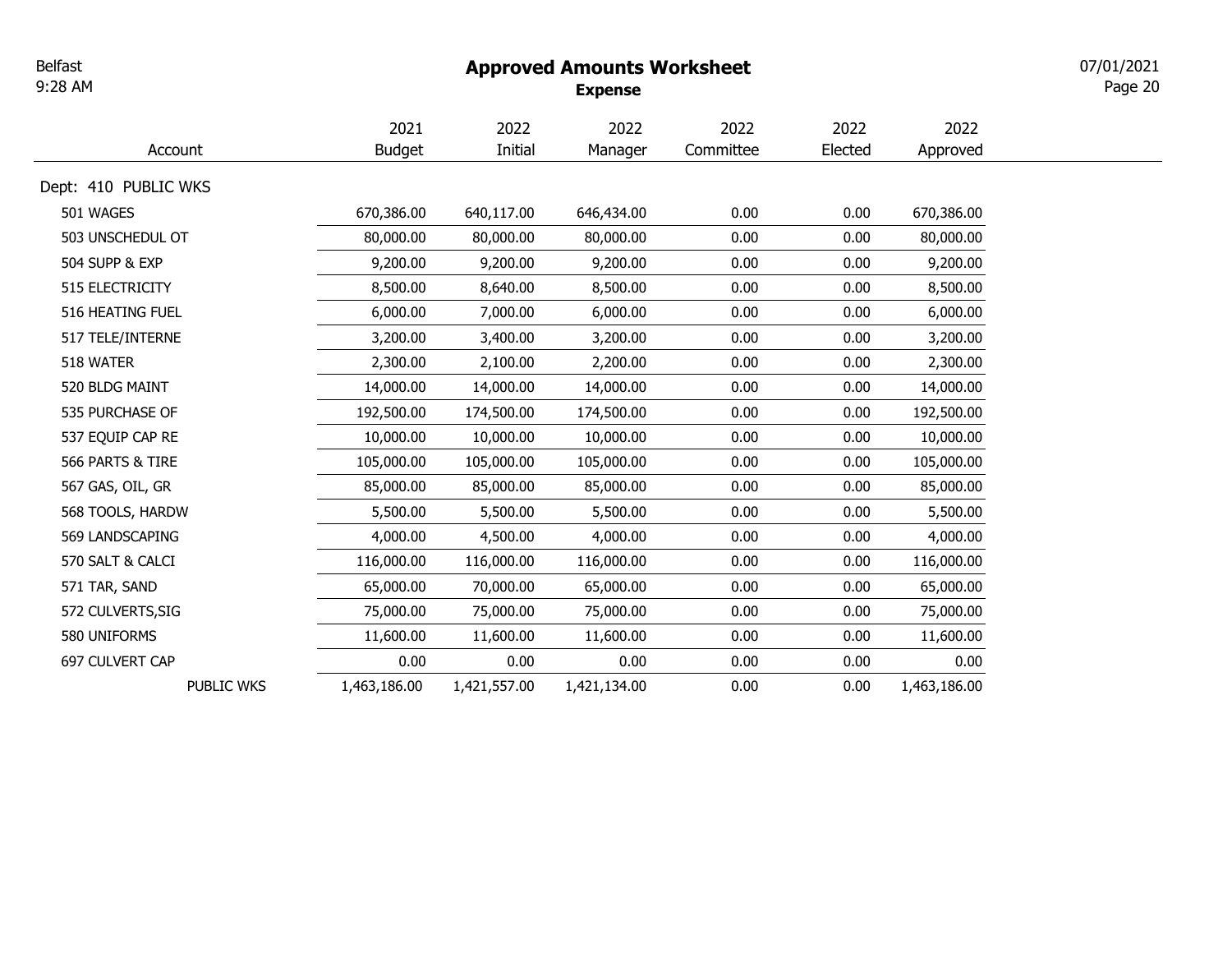### Approved Amounts Worksheet

Expense

Page 20 07/01/2021

|                      | 2021          | 2022         | 2022         | 2022      | 2022    | 2022         |
|----------------------|---------------|--------------|--------------|-----------|---------|--------------|
| Account              | <b>Budget</b> | Initial      | Manager      | Committee | Elected | Approved     |
| Dept: 410 PUBLIC WKS |               |              |              |           |         |              |
| 501 WAGES            | 670,386.00    | 640,117.00   | 646,434.00   | 0.00      | 0.00    | 670,386.00   |
| 503 UNSCHEDUL OT     | 80,000.00     | 80,000.00    | 80,000.00    | 0.00      | 0.00    | 80,000.00    |
| 504 SUPP & EXP       | 9,200.00      | 9,200.00     | 9,200.00     | 0.00      | 0.00    | 9,200.00     |
| 515 ELECTRICITY      | 8,500.00      | 8,640.00     | 8,500.00     | 0.00      | 0.00    | 8,500.00     |
| 516 HEATING FUEL     | 6,000.00      | 7,000.00     | 6,000.00     | 0.00      | 0.00    | 6,000.00     |
| 517 TELE/INTERNE     | 3,200.00      | 3,400.00     | 3,200.00     | 0.00      | 0.00    | 3,200.00     |
| 518 WATER            | 2,300.00      | 2,100.00     | 2,200.00     | 0.00      | 0.00    | 2,300.00     |
| 520 BLDG MAINT       | 14,000.00     | 14,000.00    | 14,000.00    | 0.00      | 0.00    | 14,000.00    |
| 535 PURCHASE OF      | 192,500.00    | 174,500.00   | 174,500.00   | 0.00      | 0.00    | 192,500.00   |
| 537 EQUIP CAP RE     | 10,000.00     | 10,000.00    | 10,000.00    | 0.00      | 0.00    | 10,000.00    |
| 566 PARTS & TIRE     | 105,000.00    | 105,000.00   | 105,000.00   | 0.00      | 0.00    | 105,000.00   |
| 567 GAS, OIL, GR     | 85,000.00     | 85,000.00    | 85,000.00    | 0.00      | 0.00    | 85,000.00    |
| 568 TOOLS, HARDW     | 5,500.00      | 5,500.00     | 5,500.00     | 0.00      | 0.00    | 5,500.00     |
| 569 LANDSCAPING      | 4,000.00      | 4,500.00     | 4,000.00     | 0.00      | 0.00    | 4,000.00     |
| 570 SALT & CALCI     | 116,000.00    | 116,000.00   | 116,000.00   | 0.00      | 0.00    | 116,000.00   |
| 571 TAR, SAND        | 65,000.00     | 70,000.00    | 65,000.00    | 0.00      | 0.00    | 65,000.00    |
| 572 CULVERTS, SIG    | 75,000.00     | 75,000.00    | 75,000.00    | 0.00      | 0.00    | 75,000.00    |
| 580 UNIFORMS         | 11,600.00     | 11,600.00    | 11,600.00    | 0.00      | 0.00    | 11,600.00    |
| 697 CULVERT CAP      | 0.00          | 0.00         | 0.00         | 0.00      | 0.00    | 0.00         |
| <b>PUBLIC WKS</b>    | 1,463,186.00  | 1,421,557.00 | 1,421,134.00 | 0.00      | 0.00    | 1,463,186.00 |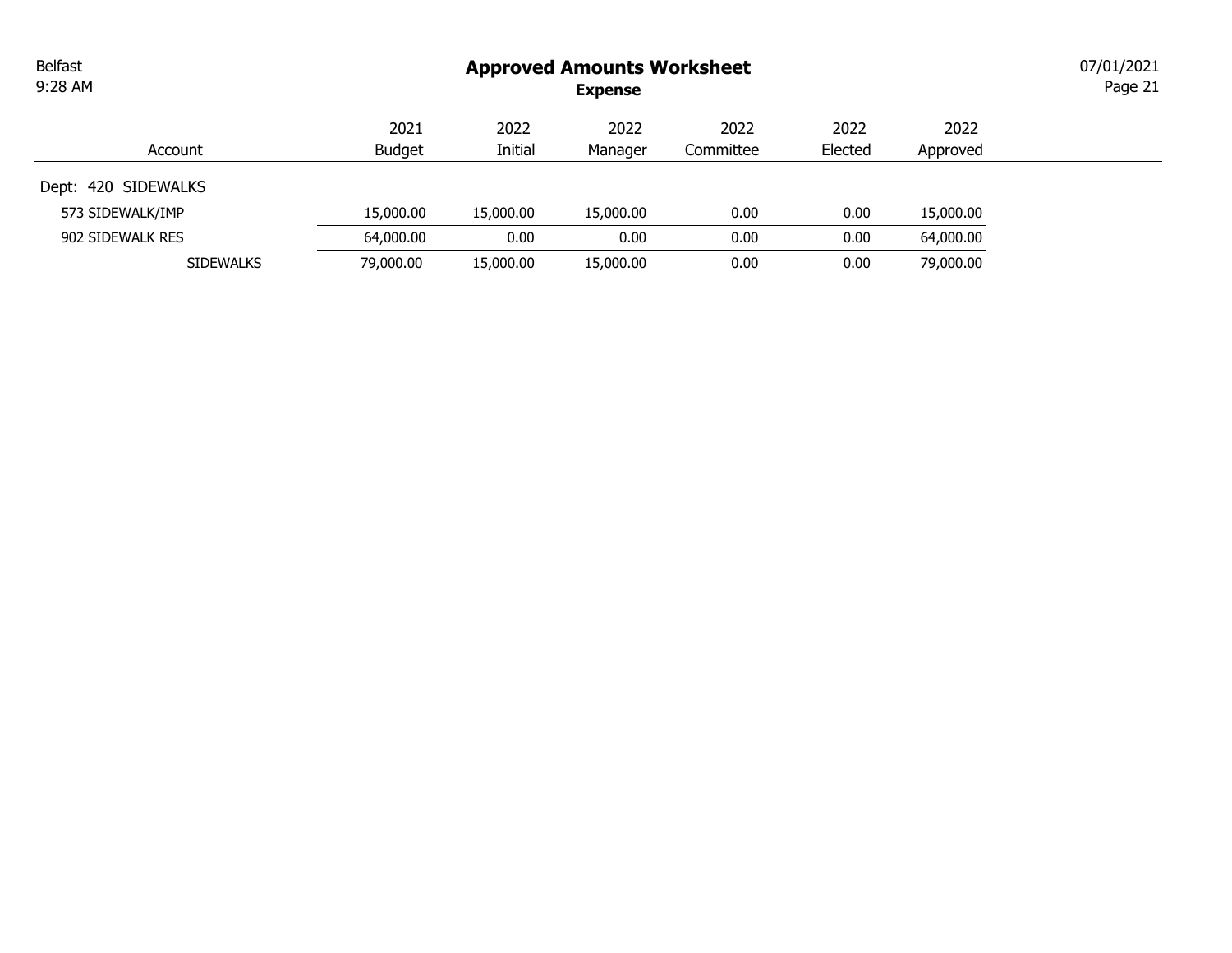| Belfast |  |
|---------|--|
| 9:28 AM |  |

#### Approved Amounts Worksheet Expense

Page 21 07/01/2021

|                     | 2021      | 2022      | 2022      | 2022      | 2022    | 2022      |
|---------------------|-----------|-----------|-----------|-----------|---------|-----------|
| Account             | Budget    | Initial   | Manager   | Committee | Elected | Approved  |
| Dept: 420 SIDEWALKS |           |           |           |           |         |           |
| 573 SIDEWALK/IMP    | 15,000.00 | 15,000.00 | 15,000.00 | 0.00      | 0.00    | 15,000.00 |
| 902 SIDEWALK RES    | 64,000.00 | 0.00      | 0.00      | 0.00      | 0.00    | 64,000.00 |
| <b>SIDEWALKS</b>    | 79,000.00 | 15,000.00 | 15,000.00 | 0.00      | 0.00    | 79,000.00 |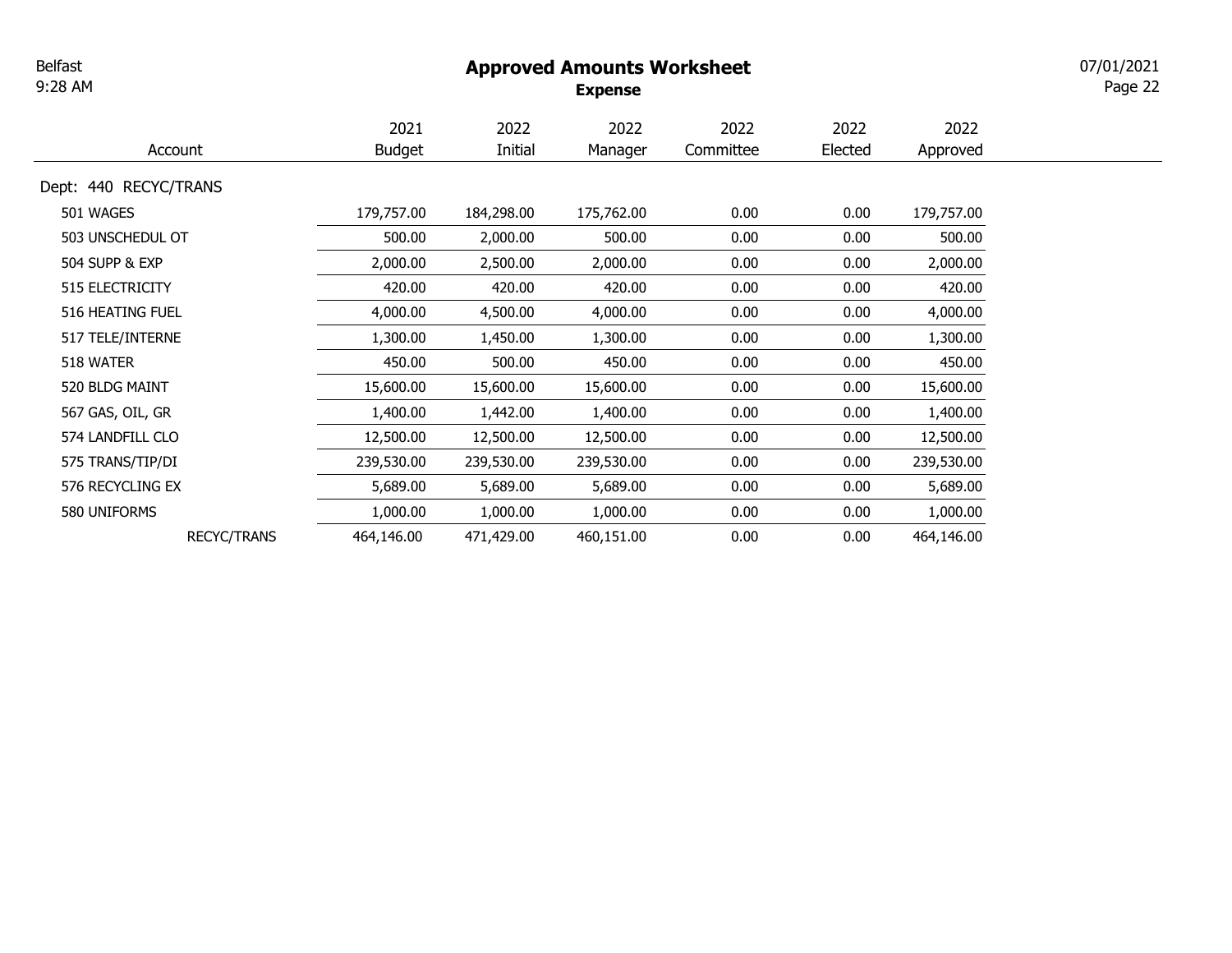# Approved Amounts Worksheet

Expense

Page 22 07/01/2021

| Account               | 2021<br><b>Budget</b> | 2022<br>Initial | 2022<br>Manager | 2022<br>Committee | 2022<br>Elected | 2022<br>Approved |
|-----------------------|-----------------------|-----------------|-----------------|-------------------|-----------------|------------------|
| Dept: 440 RECYC/TRANS |                       |                 |                 |                   |                 |                  |
| 501 WAGES             | 179,757.00            | 184,298.00      | 175,762.00      | 0.00              | 0.00            | 179,757.00       |
| 503 UNSCHEDUL OT      | 500.00                | 2,000.00        | 500.00          | 0.00              | 0.00            | 500.00           |
| 504 SUPP & EXP        | 2,000.00              | 2,500.00        | 2,000.00        | 0.00              | 0.00            | 2,000.00         |
| 515 ELECTRICITY       | 420.00                | 420.00          | 420.00          | 0.00              | 0.00            | 420.00           |
| 516 HEATING FUEL      | 4,000.00              | 4,500.00        | 4,000.00        | 0.00              | 0.00            | 4,000.00         |
| 517 TELE/INTERNE      | 1,300.00              | 1,450.00        | 1,300.00        | 0.00              | 0.00            | 1,300.00         |
| 518 WATER             | 450.00                | 500.00          | 450.00          | 0.00              | 0.00            | 450.00           |
| 520 BLDG MAINT        | 15,600.00             | 15,600.00       | 15,600.00       | 0.00              | 0.00            | 15,600.00        |
| 567 GAS, OIL, GR      | 1,400.00              | 1,442.00        | 1,400.00        | 0.00              | 0.00            | 1,400.00         |
| 574 LANDFILL CLO      | 12,500.00             | 12,500.00       | 12,500.00       | 0.00              | 0.00            | 12,500.00        |
| 575 TRANS/TIP/DI      | 239,530.00            | 239,530.00      | 239,530.00      | 0.00              | 0.00            | 239,530.00       |
| 576 RECYCLING EX      | 5,689.00              | 5,689.00        | 5,689.00        | 0.00              | 0.00            | 5,689.00         |
| 580 UNIFORMS          | 1,000.00              | 1,000.00        | 1,000.00        | 0.00              | 0.00            | 1,000.00         |
| <b>RECYC/TRANS</b>    | 464,146.00            | 471,429.00      | 460,151.00      | 0.00              | 0.00            | 464,146.00       |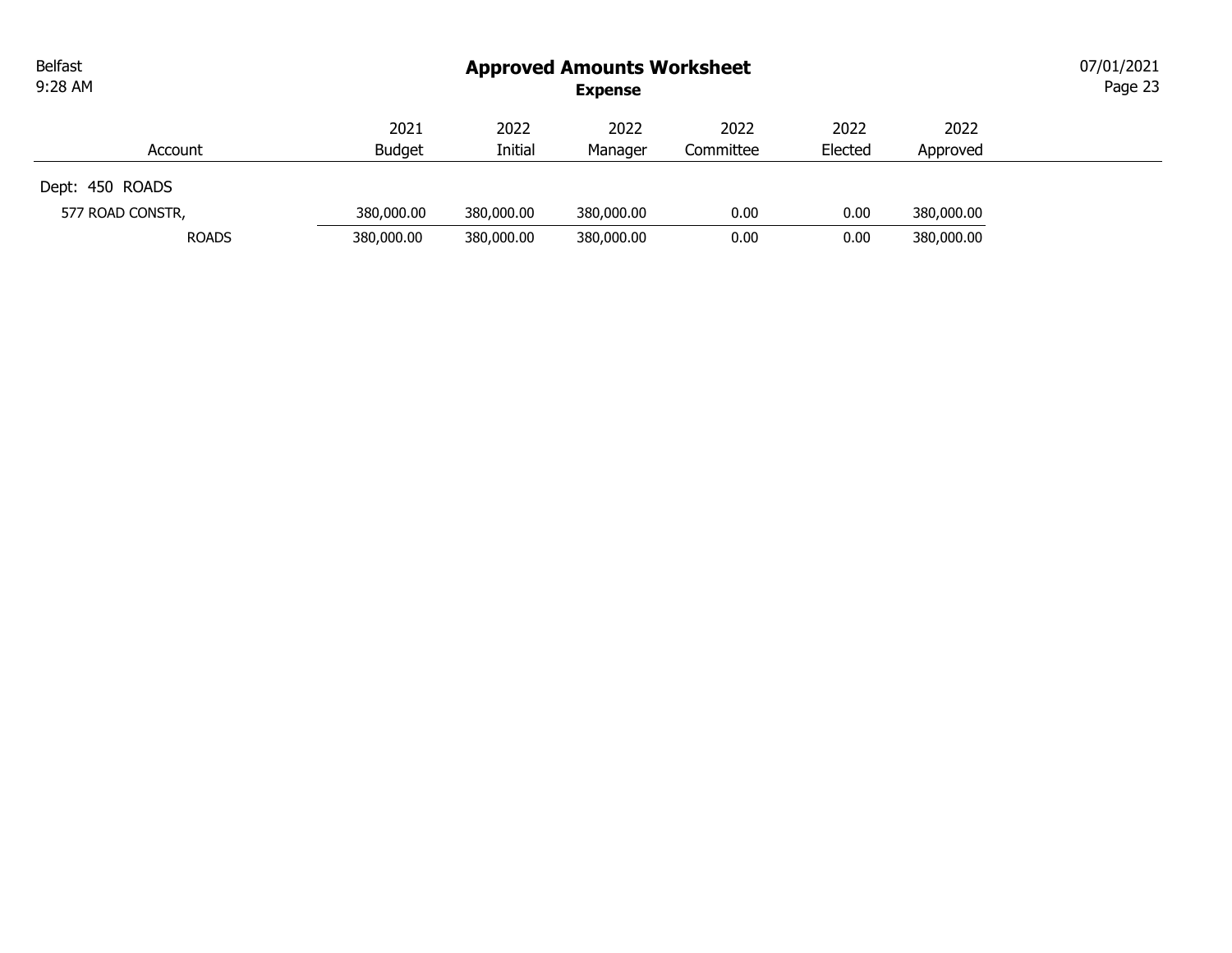| <b>Belfast</b><br>9:28 AM |                       |                 | <b>Approved Amounts Worksheet</b><br><b>Expense</b> |                   |                 |                  | 07/01/2021<br>Page 23 |
|---------------------------|-----------------------|-----------------|-----------------------------------------------------|-------------------|-----------------|------------------|-----------------------|
| Account                   | 2021<br><b>Budget</b> | 2022<br>Initial | 2022<br>Manager                                     | 2022<br>Committee | 2022<br>Elected | 2022<br>Approved |                       |
|                           |                       |                 |                                                     |                   |                 |                  |                       |
| Dept: 450 ROADS           |                       |                 |                                                     |                   |                 |                  |                       |
| 577 ROAD CONSTR,          | 380,000.00            | 380,000.00      | 380,000.00                                          | 0.00              | 0.00            | 380,000.00       |                       |
| <b>ROADS</b>              | 380,000.00            | 380,000.00      | 380,000.00                                          | 0.00              | 0.00            | 380,000.00       |                       |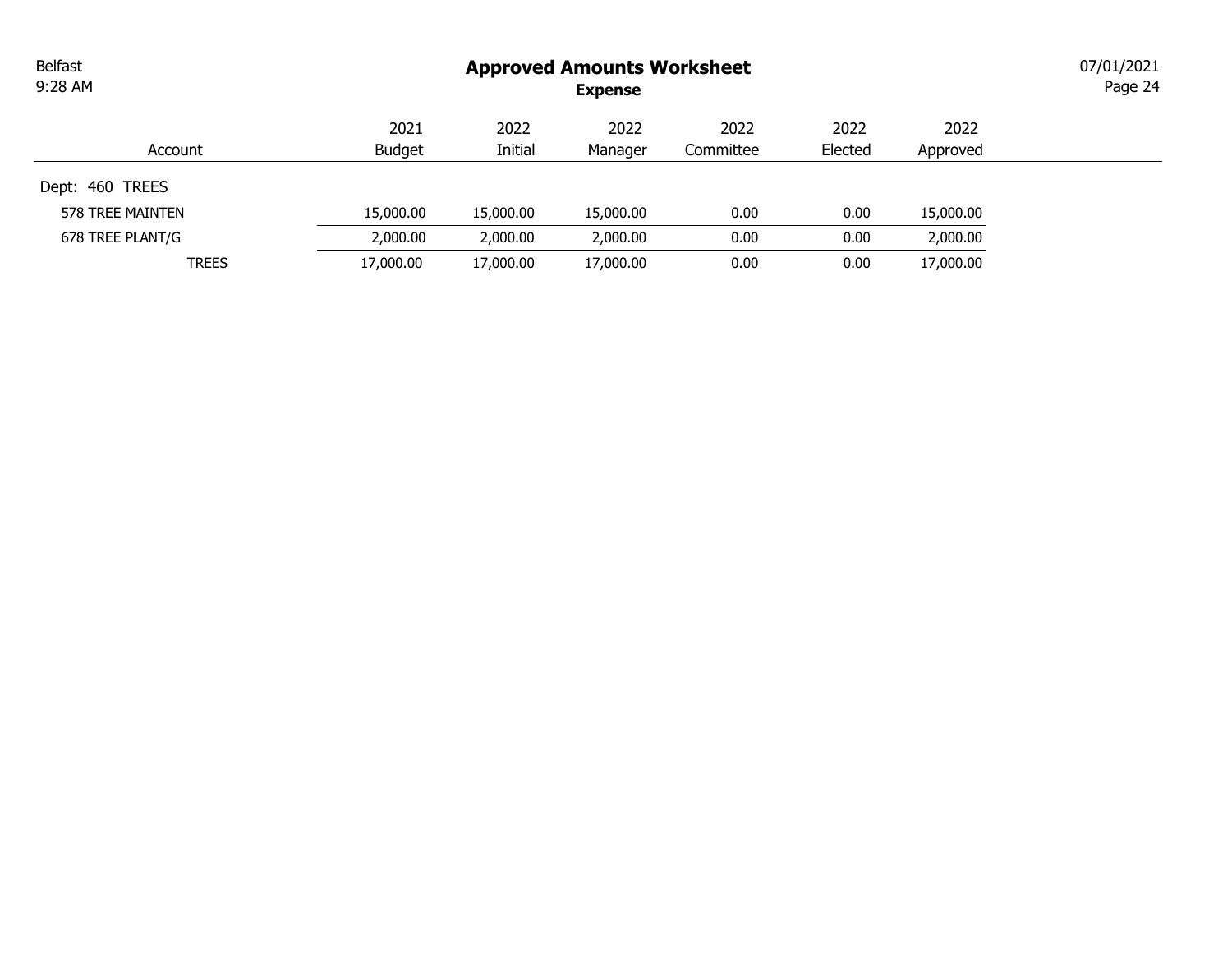| Belfast<br>9:28 AM |                       | <b>Approved Amounts Worksheet</b><br><b>Expense</b> |                 |                   |                 |                  |  |  |  |  |
|--------------------|-----------------------|-----------------------------------------------------|-----------------|-------------------|-----------------|------------------|--|--|--|--|
| Account            | 2021<br><b>Budget</b> | 2022<br>Initial                                     | 2022<br>Manager | 2022<br>Committee | 2022<br>Elected | 2022<br>Approved |  |  |  |  |
| Dept: 460 TREES    |                       |                                                     |                 |                   |                 |                  |  |  |  |  |
| 578 TREE MAINTEN   | 15,000.00             | 15,000.00                                           | 15,000.00       | 0.00              | 0.00            | 15,000.00        |  |  |  |  |
| 678 TREE PLANT/G   | 2,000.00              | 2,000.00                                            | 2,000.00        | 0.00              | 0.00            | 2,000.00         |  |  |  |  |
| <b>TREES</b>       | 17,000.00             | 17,000.00                                           | 17,000.00       | 0.00              | 0.00            | 17,000.00        |  |  |  |  |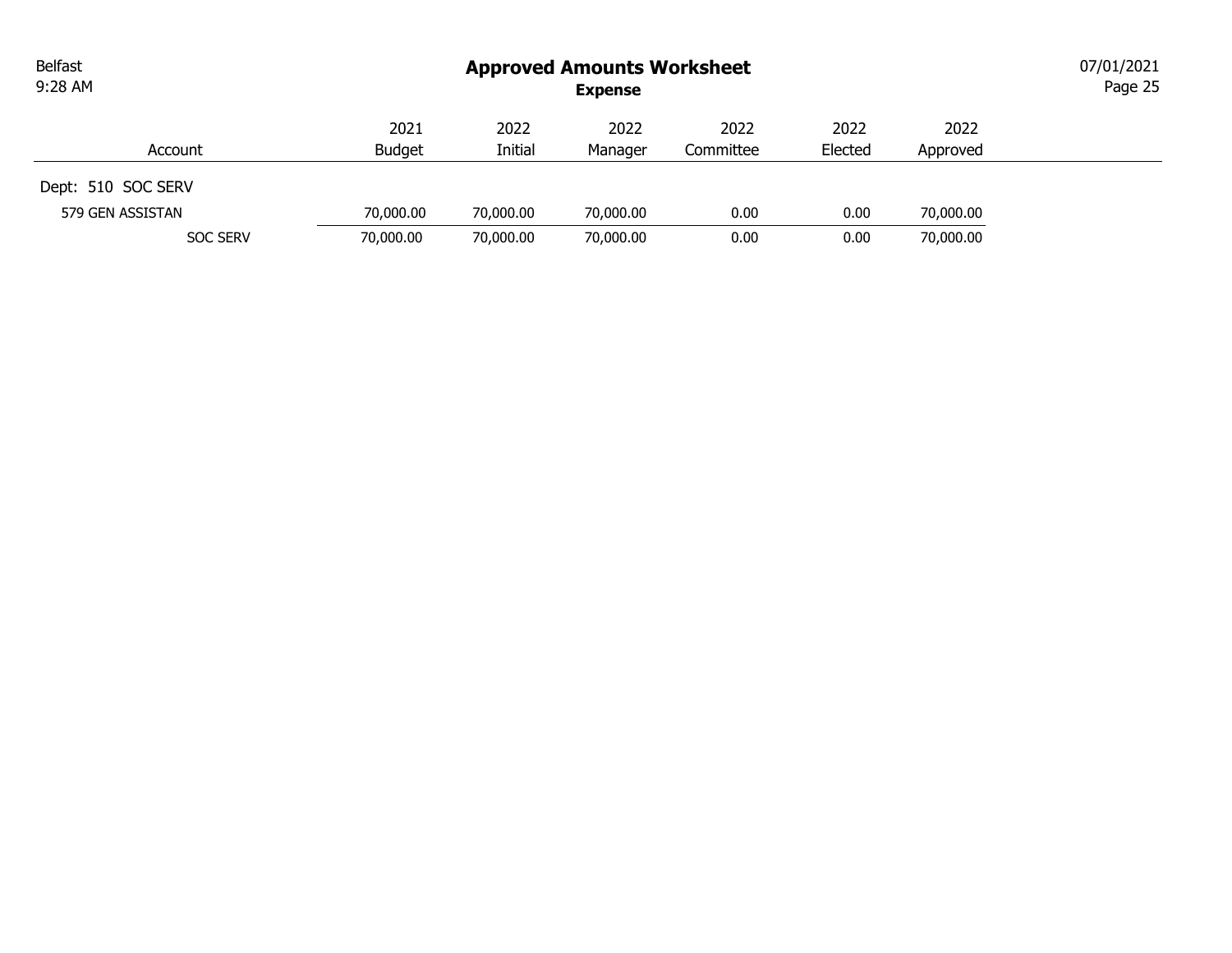| <b>Belfast</b><br>9:28 AM |               |           | <b>Approved Amounts Worksheet</b><br><b>Expense</b> |           |         |           | 07/01/2021<br>Page 25 |
|---------------------------|---------------|-----------|-----------------------------------------------------|-----------|---------|-----------|-----------------------|
|                           | 2021          | 2022      | 2022                                                | 2022      | 2022    | 2022      |                       |
| Account                   | <b>Budget</b> | Initial   | Manager                                             | Committee | Elected | Approved  |                       |
| Dept: 510 SOC SERV        |               |           |                                                     |           |         |           |                       |
| 579 GEN ASSISTAN          | 70,000.00     | 70,000.00 | 70,000.00                                           | 0.00      | 0.00    | 70,000.00 |                       |
| <b>SOC SERV</b>           | 70,000.00     | 70,000.00 | 70,000.00                                           | 0.00      | 0.00    | 70,000.00 |                       |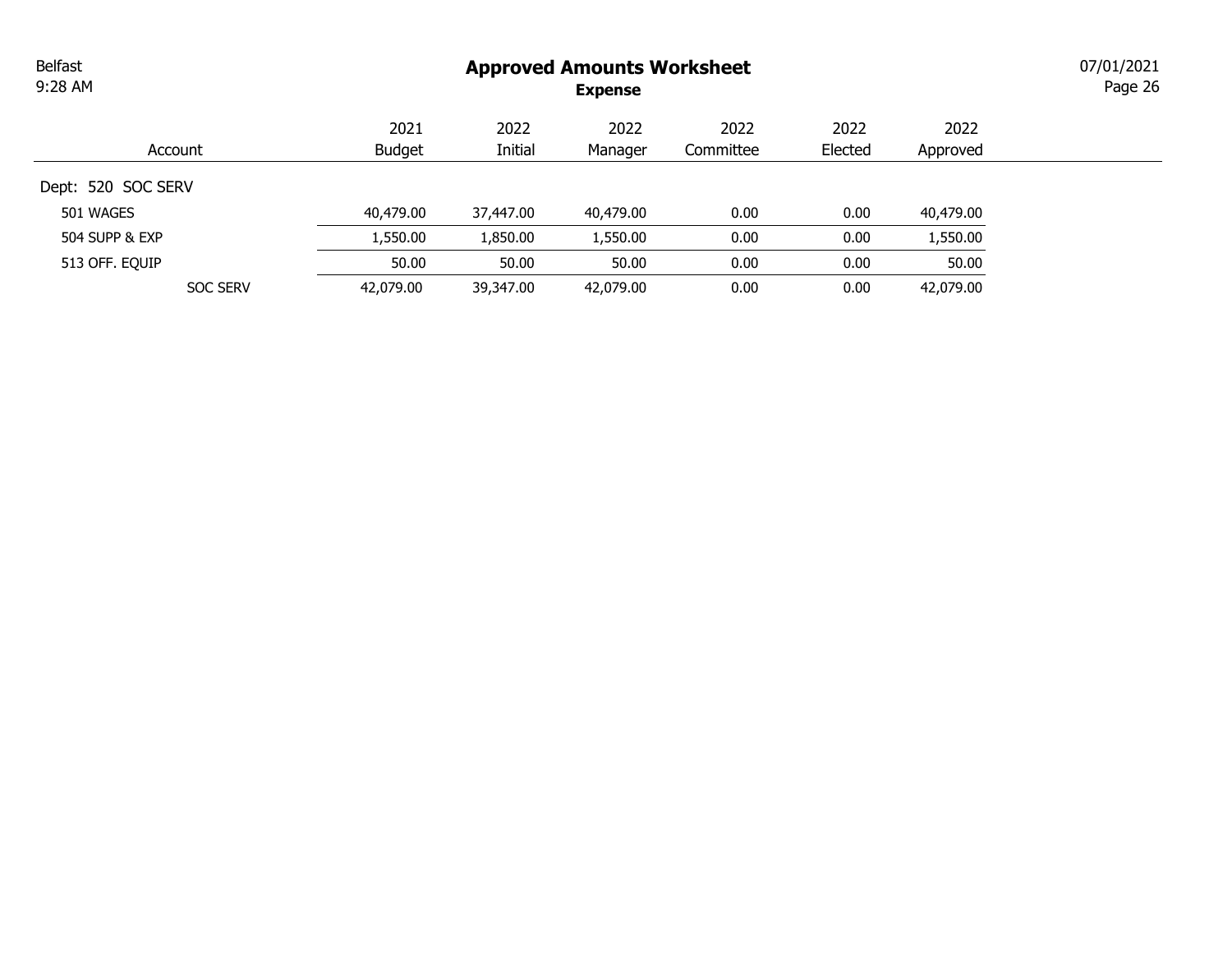# Approved Amounts Worksheet

Expense

Page 26 07/01/2021

| Account            | 2021<br><b>Budget</b> | 2022<br>Initial | 2022<br>Manager | 2022<br>Committee | 2022<br>Elected | 2022<br>Approved |
|--------------------|-----------------------|-----------------|-----------------|-------------------|-----------------|------------------|
| Dept: 520 SOC SERV |                       |                 |                 |                   |                 |                  |
| 501 WAGES          | 40,479.00             | 37,447.00       | 40,479.00       | 0.00              | 0.00            | 40,479.00        |
| 504 SUPP & EXP     | 1,550.00              | 1,850.00        | 1,550.00        | 0.00              | 0.00            | 1,550.00         |
| 513 OFF. EQUIP     | 50.00                 | 50.00           | 50.00           | 0.00              | 0.00            | 50.00            |
| <b>SOC SERV</b>    | 42,079.00             | 39,347.00       | 42,079.00       | 0.00              | 0.00            | 42,079.00        |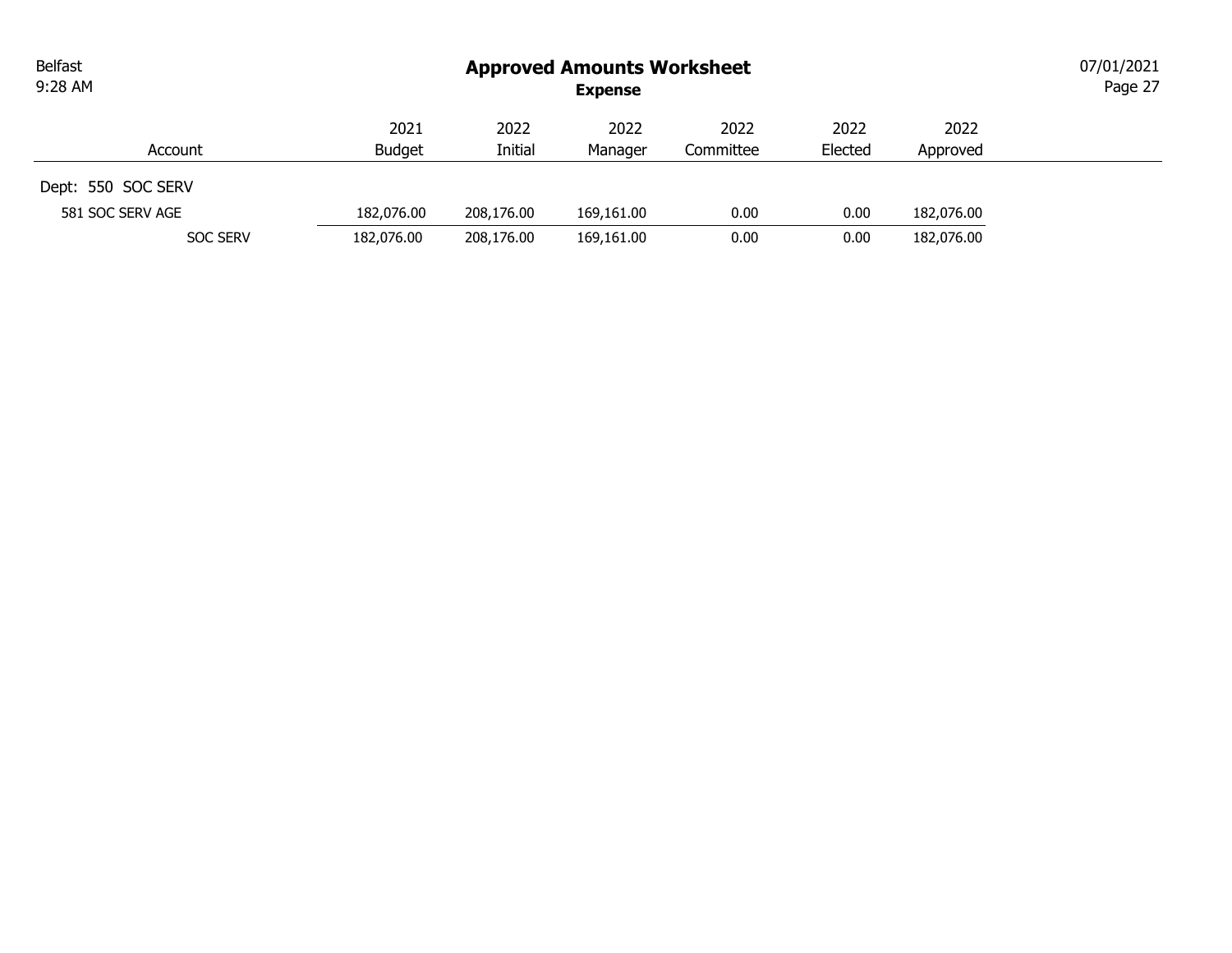| <b>Belfast</b><br>9:28 AM |               |            | <b>Approved Amounts Worksheet</b><br><b>Expense</b> |           |         |            | 07/01/2021<br>Page 27 |
|---------------------------|---------------|------------|-----------------------------------------------------|-----------|---------|------------|-----------------------|
|                           | 2021          | 2022       | 2022                                                | 2022      | 2022    | 2022       |                       |
| Account                   | <b>Budget</b> | Initial    | Manager                                             | Committee | Elected | Approved   |                       |
| Dept: 550 SOC SERV        |               |            |                                                     |           |         |            |                       |
| 581 SOC SERV AGE          | 182,076.00    | 208,176.00 | 169,161.00                                          | 0.00      | 0.00    | 182,076.00 |                       |
| <b>SOC SERV</b>           | 182,076.00    | 208,176.00 | 169,161.00                                          | 0.00      | 0.00    | 182,076.00 |                       |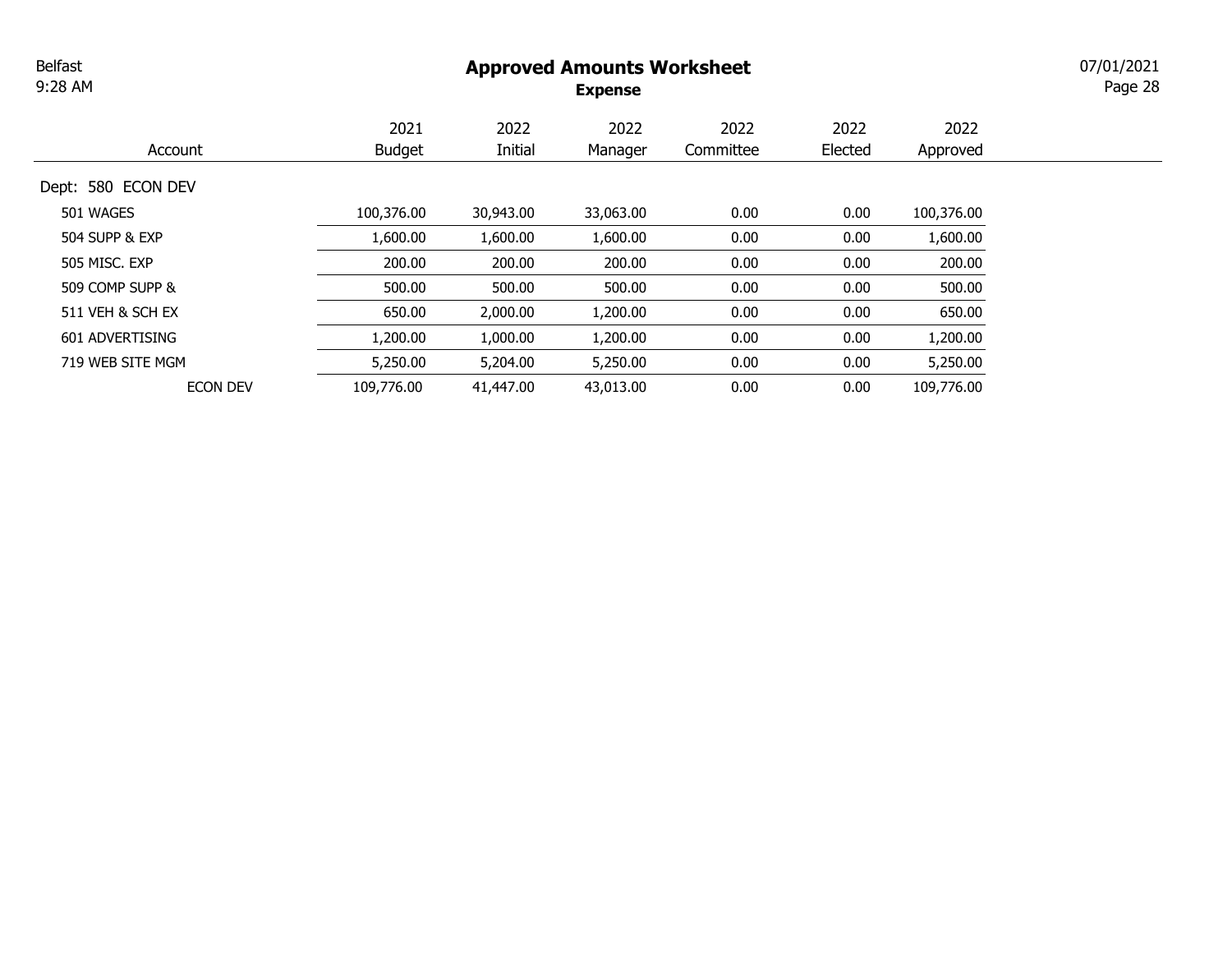### Approved Amounts Worksheet

Expense

Page 28 07/01/2021

| Account            | 2021<br>Budget | 2022<br>Initial | 2022<br>Manager | 2022<br>Committee | 2022<br>Elected | 2022<br>Approved |
|--------------------|----------------|-----------------|-----------------|-------------------|-----------------|------------------|
| Dept: 580 ECON DEV |                |                 |                 |                   |                 |                  |
| 501 WAGES          | 100,376.00     | 30,943.00       | 33,063.00       | 0.00              | 0.00            | 100,376.00       |
| 504 SUPP & EXP     | 1,600.00       | 1,600.00        | 1,600.00        | 0.00              | 0.00            | 1,600.00         |
| 505 MISC, EXP      | 200.00         | 200.00          | 200.00          | 0.00              | 0.00            | 200.00           |
| 509 COMP SUPP &    | 500.00         | 500.00          | 500.00          | 0.00              | 0.00            | 500.00           |
| 511 VEH & SCH EX   | 650.00         | 2,000.00        | 1,200.00        | 0.00              | 0.00            | 650.00           |
| 601 ADVERTISING    | 1,200.00       | 1,000.00        | 1,200.00        | 0.00              | 0.00            | 1,200.00         |
| 719 WEB SITE MGM   | 5,250.00       | 5,204.00        | 5,250.00        | 0.00              | 0.00            | 5,250.00         |
| <b>ECON DEV</b>    | 109,776.00     | 41,447.00       | 43,013,00       | 0.00              | 0.00            | 109,776.00       |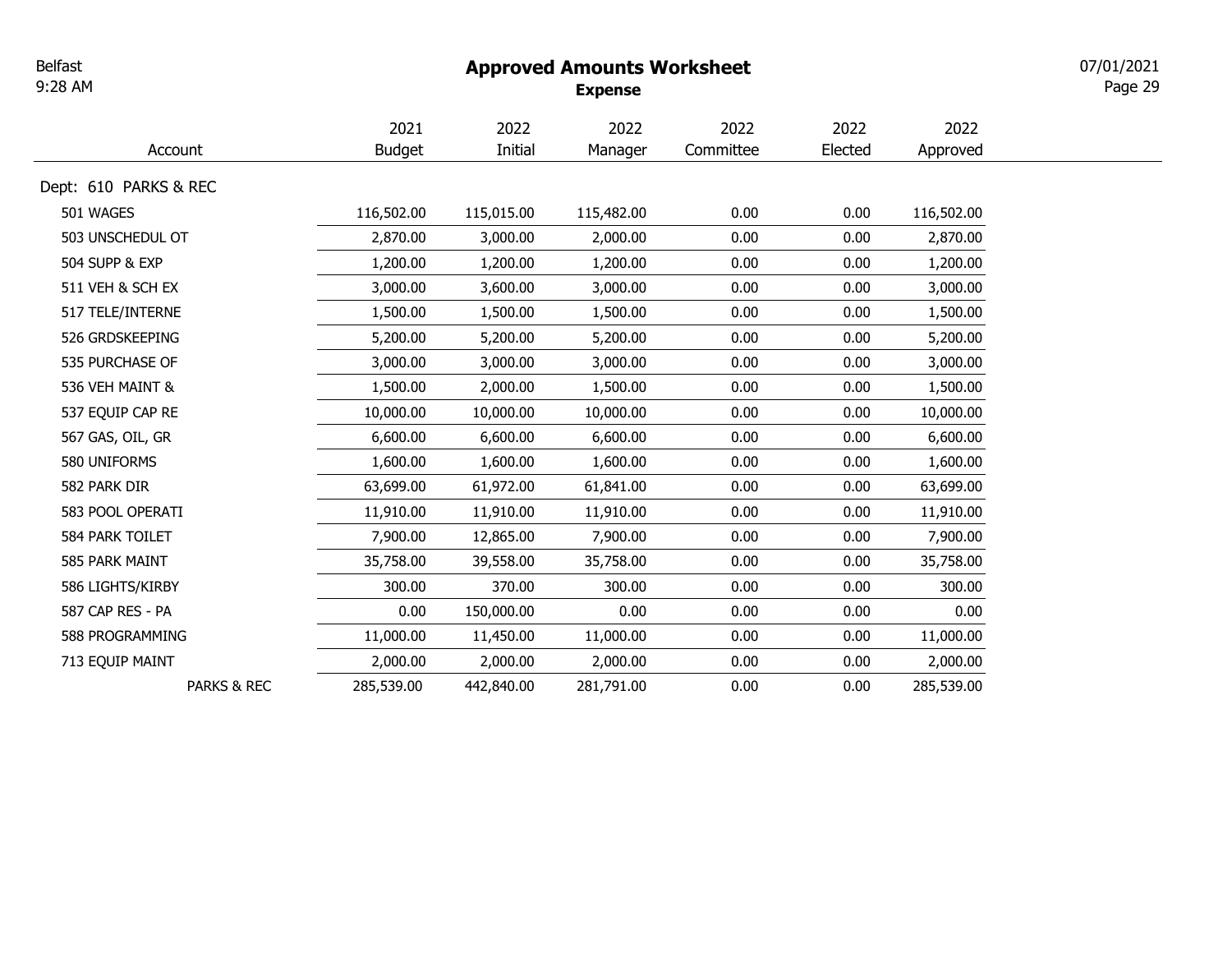Belfast

9:28 AM

# Approved Amounts Worksheet

Expense

Page 29 07/01/2021

|                       | 2021          | 2022       | 2022       | 2022      | 2022    | 2022       |
|-----------------------|---------------|------------|------------|-----------|---------|------------|
| Account               | <b>Budget</b> | Initial    | Manager    | Committee | Elected | Approved   |
| Dept: 610 PARKS & REC |               |            |            |           |         |            |
| 501 WAGES             | 116,502.00    | 115,015.00 | 115,482.00 | 0.00      | 0.00    | 116,502.00 |
| 503 UNSCHEDUL OT      | 2,870.00      | 3,000.00   | 2,000.00   | 0.00      | 0.00    | 2,870.00   |
| 504 SUPP & EXP        | 1,200.00      | 1,200.00   | 1,200.00   | 0.00      | 0.00    | 1,200.00   |
| 511 VEH & SCH EX      | 3,000.00      | 3,600.00   | 3,000.00   | 0.00      | 0.00    | 3,000.00   |
| 517 TELE/INTERNE      | 1,500.00      | 1,500.00   | 1,500.00   | 0.00      | 0.00    | 1,500.00   |
| 526 GRDSKEEPING       | 5,200.00      | 5,200.00   | 5,200.00   | 0.00      | 0.00    | 5,200.00   |
| 535 PURCHASE OF       | 3,000.00      | 3,000.00   | 3,000.00   | 0.00      | 0.00    | 3,000.00   |
| 536 VEH MAINT &       | 1,500.00      | 2,000.00   | 1,500.00   | 0.00      | 0.00    | 1,500.00   |
| 537 EQUIP CAP RE      | 10,000.00     | 10,000.00  | 10,000.00  | 0.00      | 0.00    | 10,000.00  |
| 567 GAS, OIL, GR      | 6,600.00      | 6,600.00   | 6,600.00   | 0.00      | 0.00    | 6,600.00   |
| 580 UNIFORMS          | 1,600.00      | 1,600.00   | 1,600.00   | 0.00      | 0.00    | 1,600.00   |
| 582 PARK DIR          | 63,699.00     | 61,972.00  | 61,841.00  | 0.00      | 0.00    | 63,699.00  |
| 583 POOL OPERATI      | 11,910.00     | 11,910.00  | 11,910.00  | 0.00      | 0.00    | 11,910.00  |
| 584 PARK TOILET       | 7,900.00      | 12,865.00  | 7,900.00   | 0.00      | 0.00    | 7,900.00   |
| 585 PARK MAINT        | 35,758.00     | 39,558.00  | 35,758.00  | 0.00      | 0.00    | 35,758.00  |
| 586 LIGHTS/KIRBY      | 300.00        | 370.00     | 300.00     | 0.00      | 0.00    | 300.00     |
| 587 CAP RES - PA      | 0.00          | 150,000.00 | 0.00       | 0.00      | 0.00    | 0.00       |
| 588 PROGRAMMING       | 11,000.00     | 11,450.00  | 11,000.00  | 0.00      | 0.00    | 11,000.00  |
| 713 EQUIP MAINT       | 2,000.00      | 2,000.00   | 2,000.00   | 0.00      | 0.00    | 2,000.00   |
| PARKS & REC           | 285,539.00    | 442,840.00 | 281,791.00 | 0.00      | 0.00    | 285,539.00 |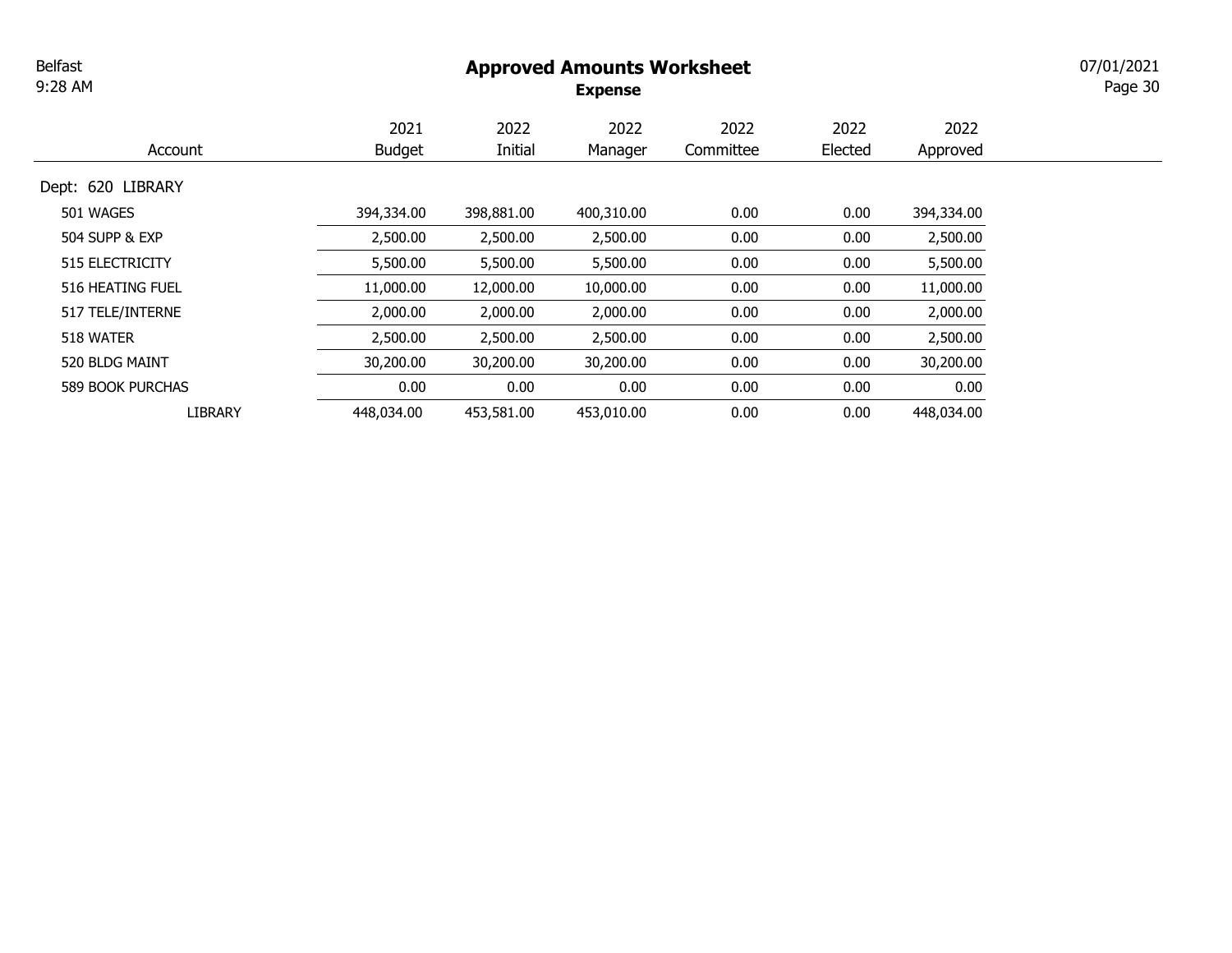### Approved Amounts Worksheet

Expense

Page 30 07/01/2021

**Contract Contract** 

|                   | 2021          | 2022       | 2022       | 2022      | 2022    | 2022       |
|-------------------|---------------|------------|------------|-----------|---------|------------|
| Account           | <b>Budget</b> | Initial    | Manager    | Committee | Elected | Approved   |
| Dept: 620 LIBRARY |               |            |            |           |         |            |
| 501 WAGES         | 394,334.00    | 398,881.00 | 400,310.00 | 0.00      | 0.00    | 394,334.00 |
| 504 SUPP & EXP    | 2,500.00      | 2,500.00   | 2,500.00   | 0.00      | 0.00    | 2,500.00   |
| 515 ELECTRICITY   | 5,500.00      | 5,500.00   | 5,500.00   | 0.00      | 0.00    | 5,500.00   |
| 516 HEATING FUEL  | 11,000.00     | 12,000.00  | 10,000.00  | 0.00      | 0.00    | 11,000.00  |
| 517 TELE/INTERNE  | 2,000.00      | 2,000.00   | 2,000.00   | 0.00      | 0.00    | 2,000.00   |
| 518 WATER         | 2,500.00      | 2,500.00   | 2,500.00   | 0.00      | 0.00    | 2,500.00   |
| 520 BLDG MAINT    | 30,200.00     | 30,200.00  | 30,200.00  | 0.00      | 0.00    | 30,200.00  |
| 589 BOOK PURCHAS  | 0.00          | 0.00       | 0.00       | 0.00      | 0.00    | 0.00       |
| LIBRARY           | 448,034.00    | 453,581.00 | 453,010.00 | 0.00      | 0.00    | 448,034.00 |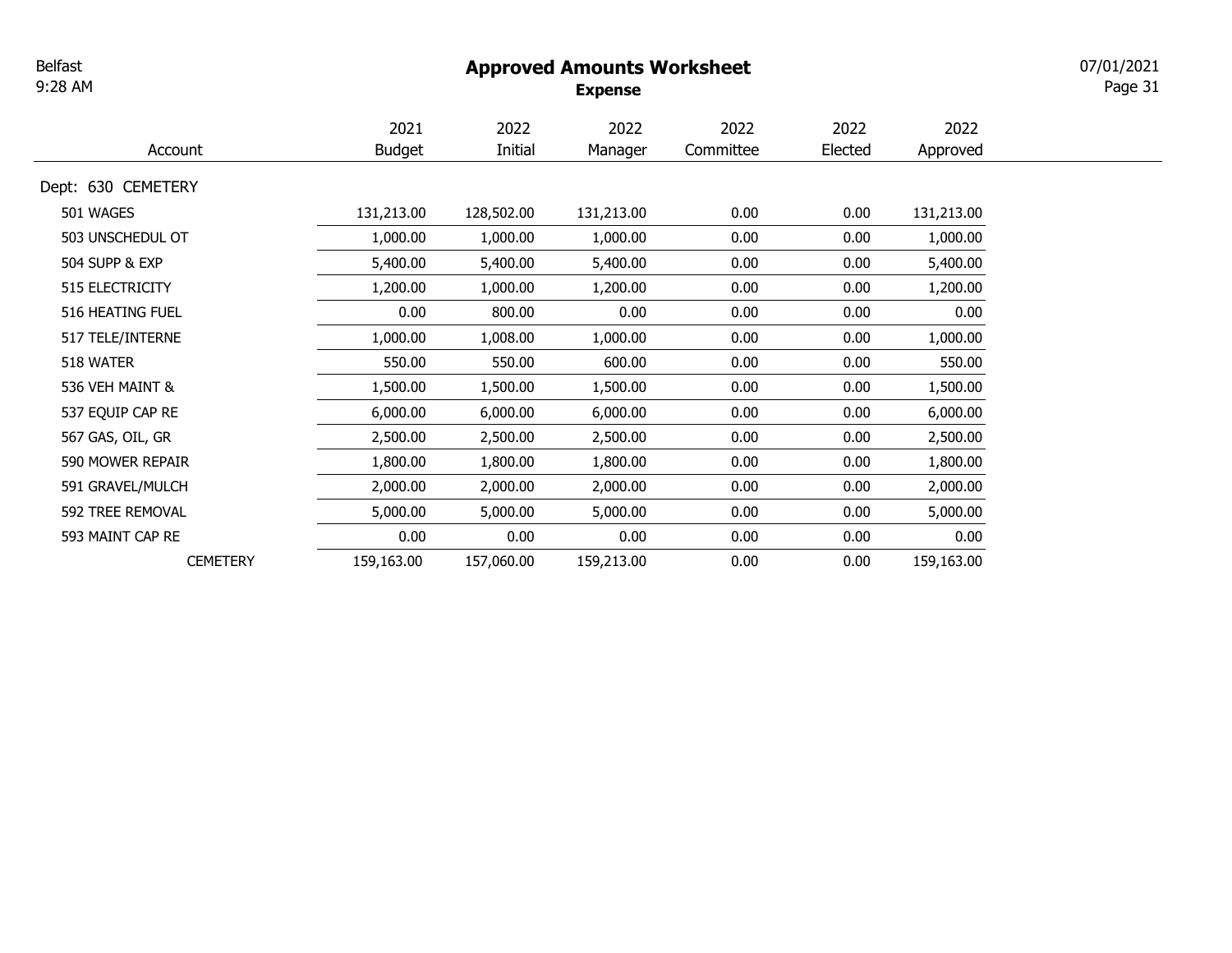### Approved Amounts Worksheet

Expense

Page 31 07/01/2021

| Account            | 2021<br><b>Budget</b> | 2022<br>Initial | 2022<br>Manager | 2022<br>Committee | 2022<br>Elected | 2022<br>Approved |
|--------------------|-----------------------|-----------------|-----------------|-------------------|-----------------|------------------|
| Dept: 630 CEMETERY |                       |                 |                 |                   |                 |                  |
| 501 WAGES          | 131,213.00            | 128,502.00      | 131,213.00      | 0.00              | 0.00            | 131,213.00       |
| 503 UNSCHEDUL OT   | 1,000.00              | 1,000.00        | 1,000.00        | 0.00              | 0.00            | 1,000.00         |
| 504 SUPP & EXP     | 5,400.00              | 5,400.00        | 5,400.00        | 0.00              | 0.00            | 5,400.00         |
| 515 ELECTRICITY    | 1,200.00              | 1,000.00        | 1,200.00        | 0.00              | 0.00            | 1,200.00         |
| 516 HEATING FUEL   | 0.00                  | 800.00          | 0.00            | 0.00              | 0.00            | 0.00             |
| 517 TELE/INTERNE   | 1,000.00              | 1,008.00        | 1,000.00        | 0.00              | 0.00            | 1,000.00         |
| 518 WATER          | 550.00                | 550.00          | 600.00          | 0.00              | 0.00            | 550.00           |
| 536 VEH MAINT &    | 1,500.00              | 1,500.00        | 1,500.00        | 0.00              | 0.00            | 1,500.00         |
| 537 EQUIP CAP RE   | 6,000.00              | 6,000.00        | 6,000.00        | 0.00              | 0.00            | 6,000.00         |
| 567 GAS, OIL, GR   | 2,500.00              | 2,500.00        | 2,500.00        | 0.00              | 0.00            | 2,500.00         |
| 590 MOWER REPAIR   | 1,800.00              | 1,800.00        | 1,800.00        | 0.00              | 0.00            | 1,800.00         |
| 591 GRAVEL/MULCH   | 2,000.00              | 2,000.00        | 2,000.00        | 0.00              | 0.00            | 2,000.00         |
| 592 TREE REMOVAL   | 5,000.00              | 5,000.00        | 5,000.00        | 0.00              | 0.00            | 5,000.00         |
| 593 MAINT CAP RE   | 0.00                  | 0.00            | 0.00            | 0.00              | 0.00            | 0.00             |
| <b>CEMETERY</b>    | 159,163.00            | 157,060.00      | 159,213.00      | 0.00              | 0.00            | 159,163.00       |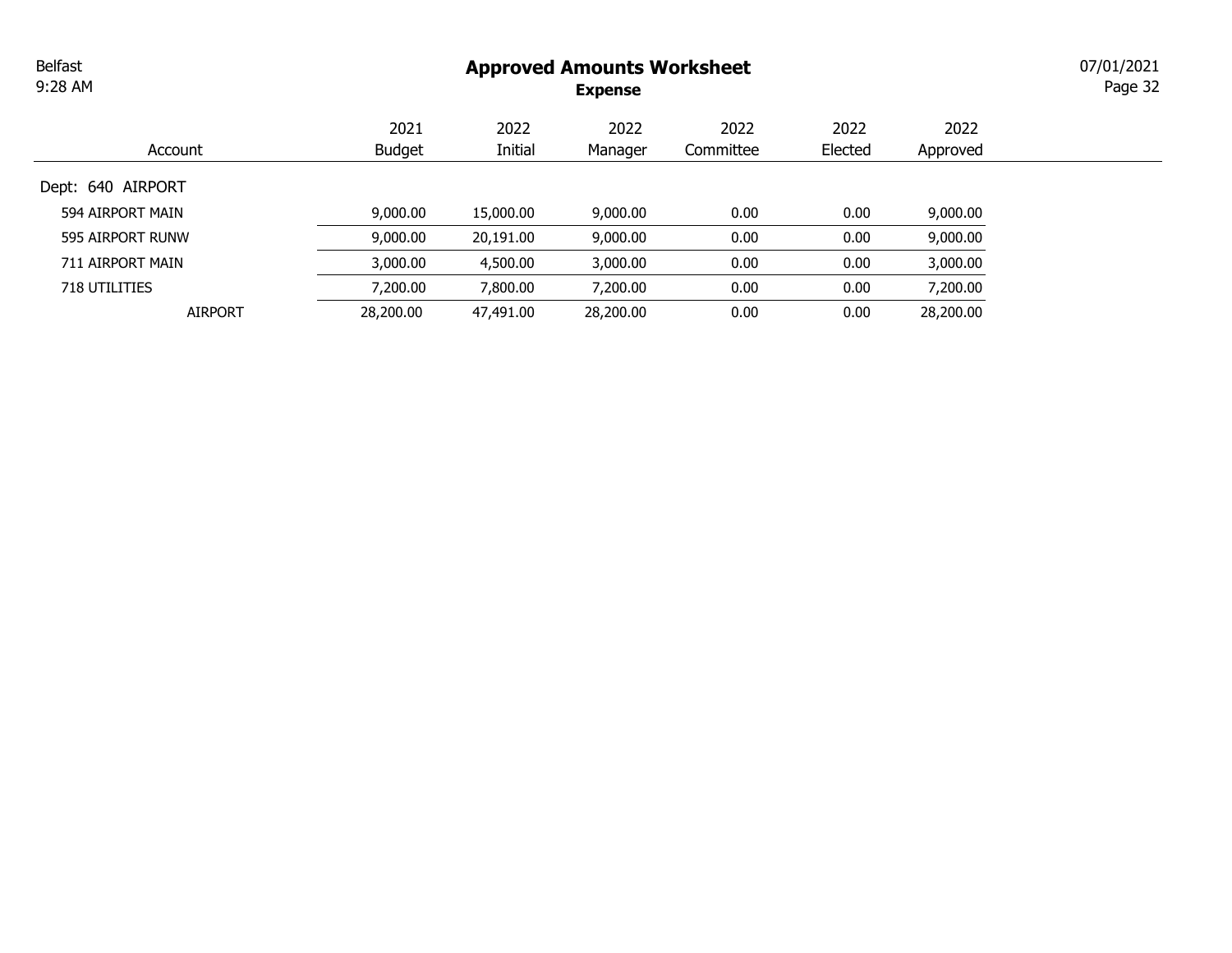# Approved Amounts Worksheet

Expense

Page 32 07/01/2021

| Account           | 2021<br><b>Budget</b> | 2022<br>Initial | 2022<br>Manager | 2022<br>Committee | 2022<br>Elected | 2022<br>Approved |
|-------------------|-----------------------|-----------------|-----------------|-------------------|-----------------|------------------|
| Dept: 640 AIRPORT |                       |                 |                 |                   |                 |                  |
| 594 AIRPORT MAIN  | 9,000.00              | 15,000.00       | 9,000.00        | 0.00              | 0.00            | 9,000.00         |
| 595 AIRPORT RUNW  | 9,000.00              | 20,191.00       | 9,000.00        | 0.00              | 0.00            | 9,000.00         |
| 711 AIRPORT MAIN  | 3,000.00              | 4,500.00        | 3,000.00        | 0.00              | 0.00            | 3,000.00         |
| 718 UTILITIES     | 7,200.00              | 7,800.00        | 7,200.00        | 0.00              | 0.00            | 7,200.00         |
| <b>AIRPORT</b>    | 28,200.00             | 47,491.00       | 28,200.00       | 0.00              | 0.00            | 28,200.00        |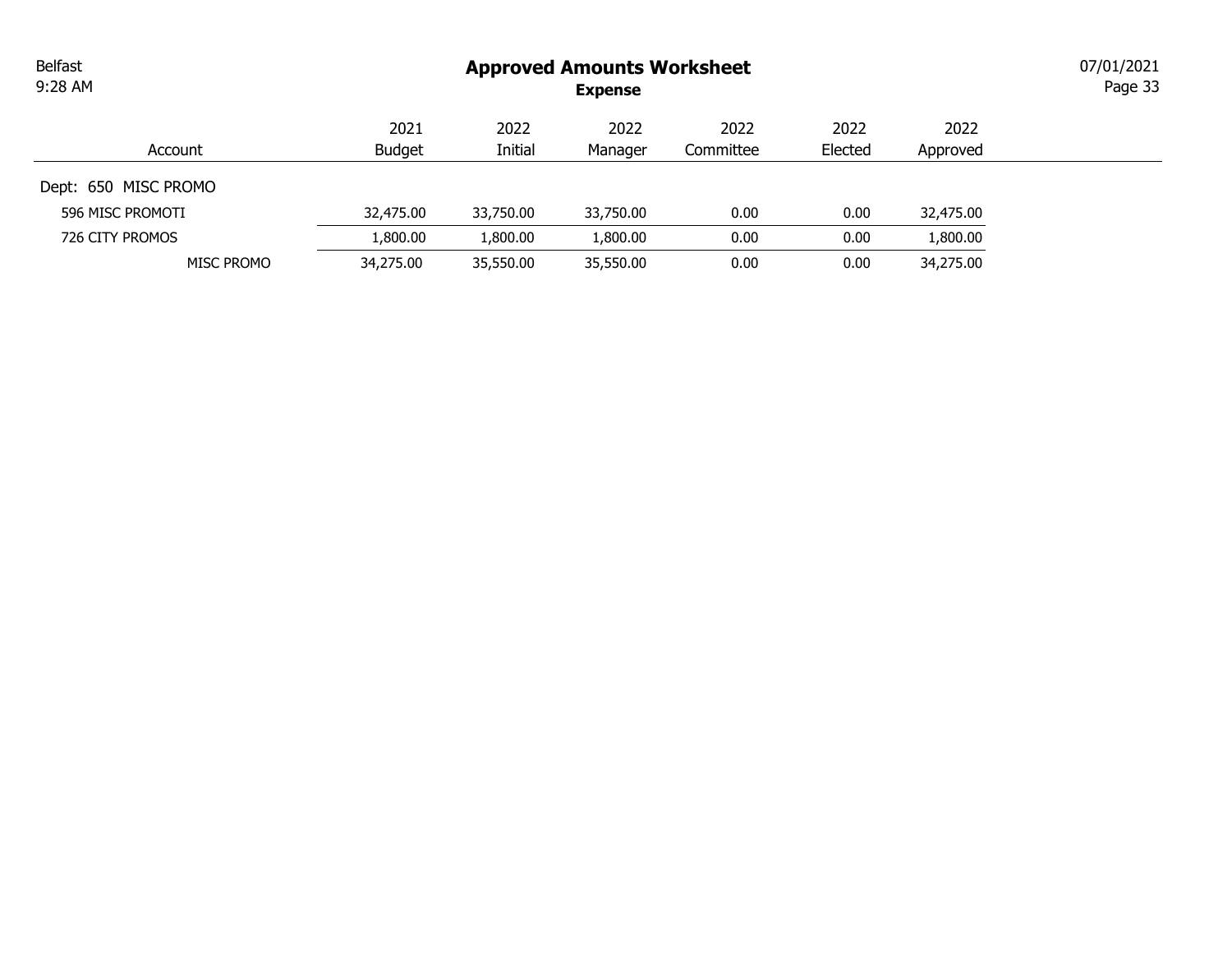| <b>Belfast</b><br>9:28 AM |                       | 07/01/2021<br>Page 33 |                 |                   |                 |                  |  |
|---------------------------|-----------------------|-----------------------|-----------------|-------------------|-----------------|------------------|--|
| Account                   | 2021<br><b>Budget</b> | 2022<br>Initial       | 2022<br>Manager | 2022<br>Committee | 2022<br>Elected | 2022<br>Approved |  |
| Dept: 650 MISC PROMO      |                       |                       |                 |                   |                 |                  |  |
| 596 MISC PROMOTI          | 32,475.00             | 33,750.00             | 33,750.00       | 0.00              | 0.00            | 32,475.00        |  |
| 726 CITY PROMOS           | 1,800.00              | 1,800.00              | 1,800.00        | 0.00              | 0.00            | 1,800.00         |  |
| <b>MISC PROMO</b>         | 34,275.00             | 35,550.00             | 35,550.00       | 0.00              | 0.00            | 34,275.00        |  |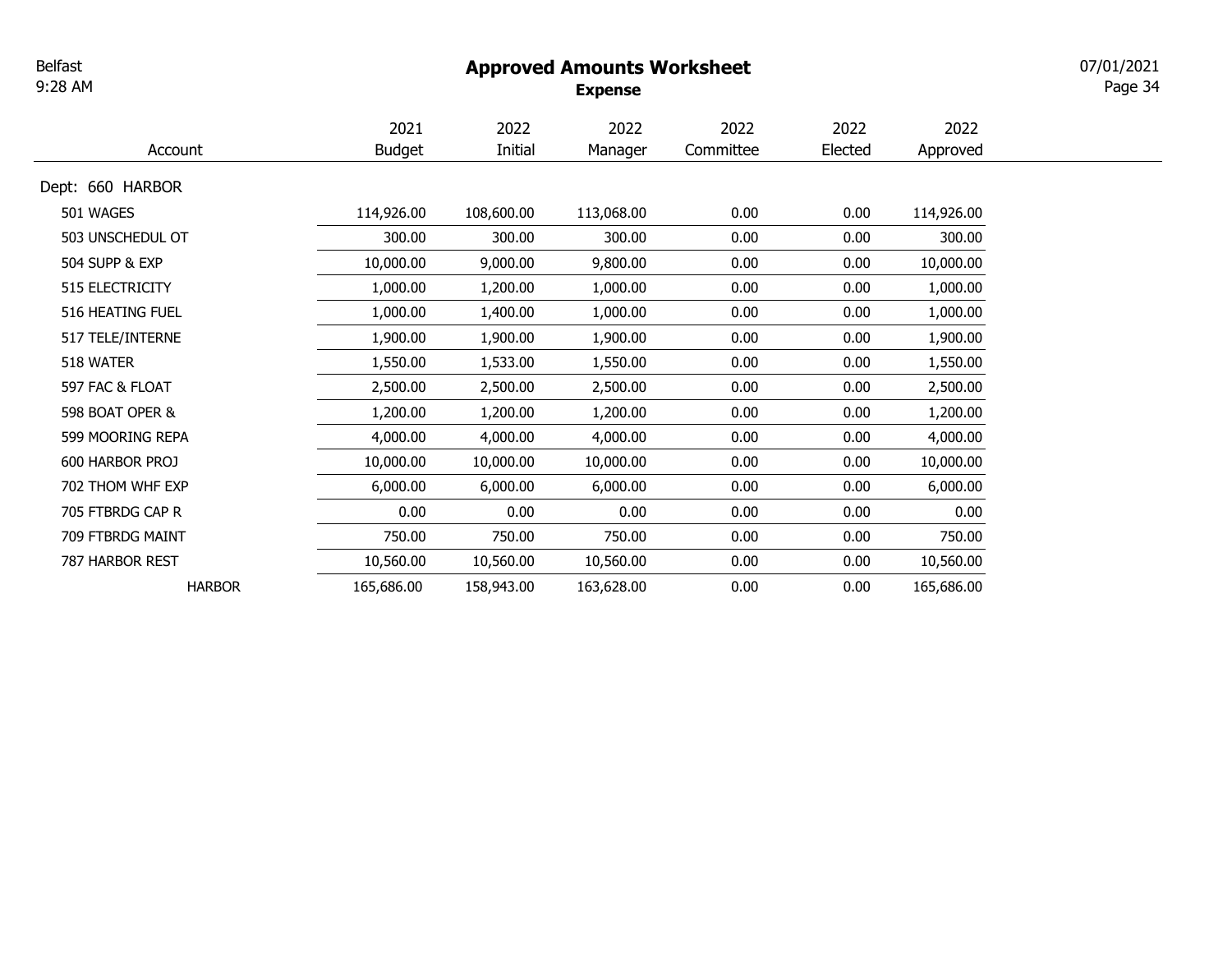# Approved Amounts Worksheet

Expense

Page 34 07/01/2021

|                  | 2021          | 2022       | 2022       | 2022      | 2022    | 2022       |
|------------------|---------------|------------|------------|-----------|---------|------------|
| Account          | <b>Budget</b> | Initial    | Manager    | Committee | Elected | Approved   |
| Dept: 660 HARBOR |               |            |            |           |         |            |
| 501 WAGES        | 114,926.00    | 108,600.00 | 113,068.00 | 0.00      | 0.00    | 114,926.00 |
| 503 UNSCHEDUL OT | 300.00        | 300.00     | 300.00     | 0.00      | 0.00    | 300.00     |
| 504 SUPP & EXP   | 10,000.00     | 9,000.00   | 9,800.00   | 0.00      | 0.00    | 10,000.00  |
| 515 ELECTRICITY  | 1,000.00      | 1,200.00   | 1,000.00   | 0.00      | 0.00    | 1,000.00   |
| 516 HEATING FUEL | 1,000.00      | 1,400.00   | 1,000.00   | 0.00      | 0.00    | 1,000.00   |
| 517 TELE/INTERNE | 1,900.00      | 1,900.00   | 1,900.00   | 0.00      | 0.00    | 1,900.00   |
| 518 WATER        | 1,550.00      | 1,533.00   | 1,550.00   | 0.00      | 0.00    | 1,550.00   |
| 597 FAC & FLOAT  | 2,500.00      | 2,500.00   | 2,500.00   | 0.00      | 0.00    | 2,500.00   |
| 598 BOAT OPER &  | 1,200.00      | 1,200.00   | 1,200.00   | 0.00      | 0.00    | 1,200.00   |
| 599 MOORING REPA | 4,000.00      | 4,000.00   | 4,000.00   | 0.00      | 0.00    | 4,000.00   |
| 600 HARBOR PROJ  | 10,000.00     | 10,000.00  | 10,000.00  | 0.00      | 0.00    | 10,000.00  |
| 702 THOM WHF EXP | 6,000.00      | 6,000.00   | 6,000.00   | 0.00      | 0.00    | 6,000.00   |
| 705 FTBRDG CAP R | 0.00          | 0.00       | 0.00       | 0.00      | 0.00    | 0.00       |
| 709 FTBRDG MAINT | 750.00        | 750.00     | 750.00     | 0.00      | 0.00    | 750.00     |
| 787 HARBOR REST  | 10,560.00     | 10,560.00  | 10,560.00  | 0.00      | 0.00    | 10,560.00  |
| <b>HARBOR</b>    | 165,686.00    | 158,943.00 | 163,628.00 | 0.00      | 0.00    | 165,686.00 |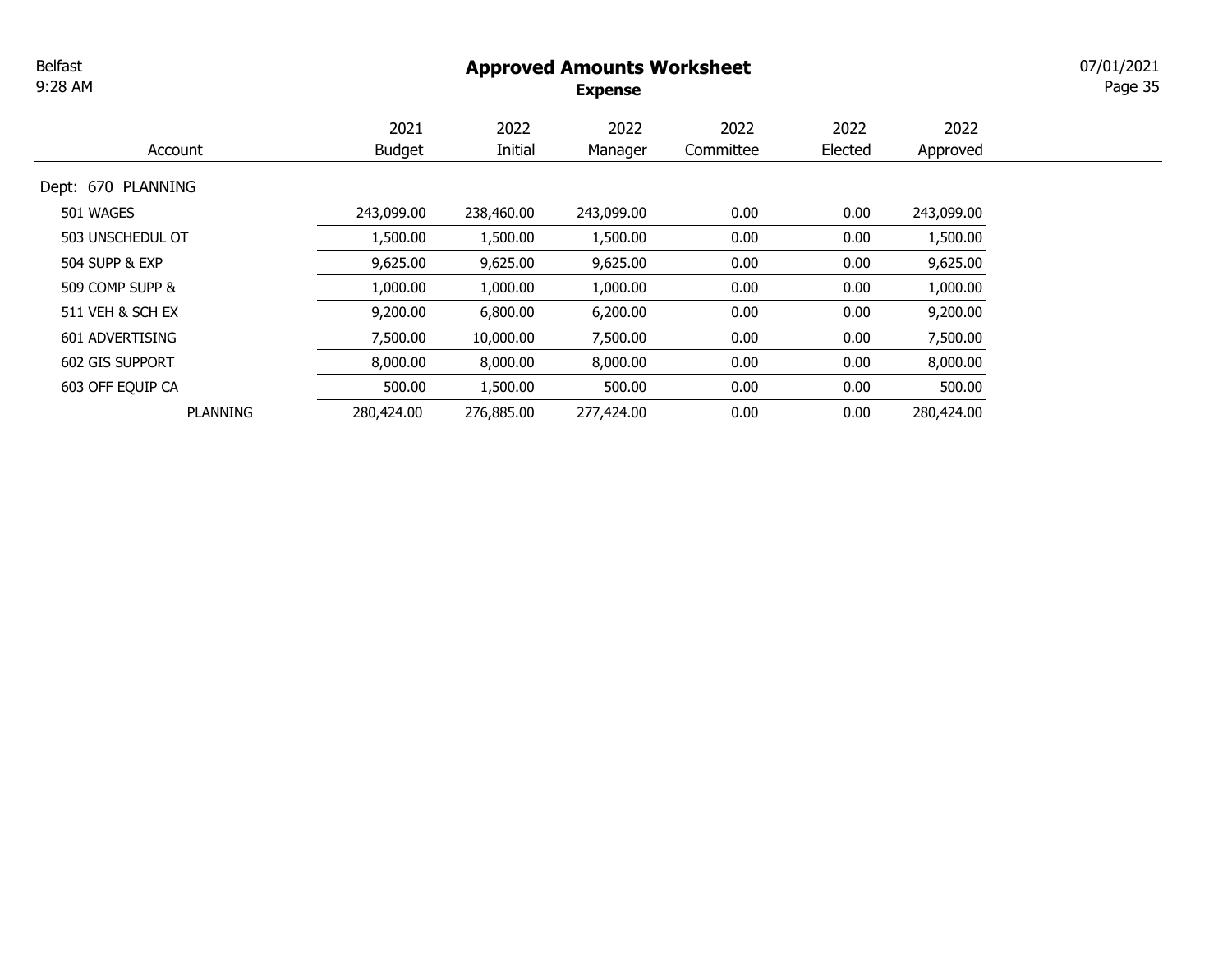### Approved Amounts Worksheet

Expense

Page 35 07/01/2021

**Contract Contract** 

|                        | 2021          | 2022       | 2022       | 2022      | 2022    | 2022       |
|------------------------|---------------|------------|------------|-----------|---------|------------|
| Account                | <b>Budget</b> | Initial    | Manager    | Committee | Elected | Approved   |
| Dept: 670 PLANNING     |               |            |            |           |         |            |
| 501 WAGES              | 243,099.00    | 238,460.00 | 243,099.00 | 0.00      | 0.00    | 243,099.00 |
| 503 UNSCHEDUL OT       | 1,500.00      | 1,500.00   | 1,500.00   | 0.00      | 0.00    | 1,500.00   |
| 504 SUPP & EXP         | 9,625.00      | 9,625.00   | 9,625.00   | 0.00      | 0.00    | 9,625.00   |
| 509 COMP SUPP &        | 1,000.00      | 1,000.00   | 1,000.00   | 0.00      | 0.00    | 1,000.00   |
| 511 VEH & SCH EX       | 9,200.00      | 6,800.00   | 6,200.00   | 0.00      | 0.00    | 9,200.00   |
| 601 ADVERTISING        | 7,500.00      | 10,000.00  | 7,500.00   | 0.00      | 0.00    | 7,500.00   |
| <b>602 GIS SUPPORT</b> | 8,000.00      | 8,000.00   | 8,000.00   | 0.00      | 0.00    | 8,000.00   |
| 603 OFF EQUIP CA       | 500.00        | 1,500.00   | 500.00     | 0.00      | 0.00    | 500.00     |
| <b>PLANNING</b>        | 280,424.00    | 276,885.00 | 277,424.00 | 0.00      | 0.00    | 280,424.00 |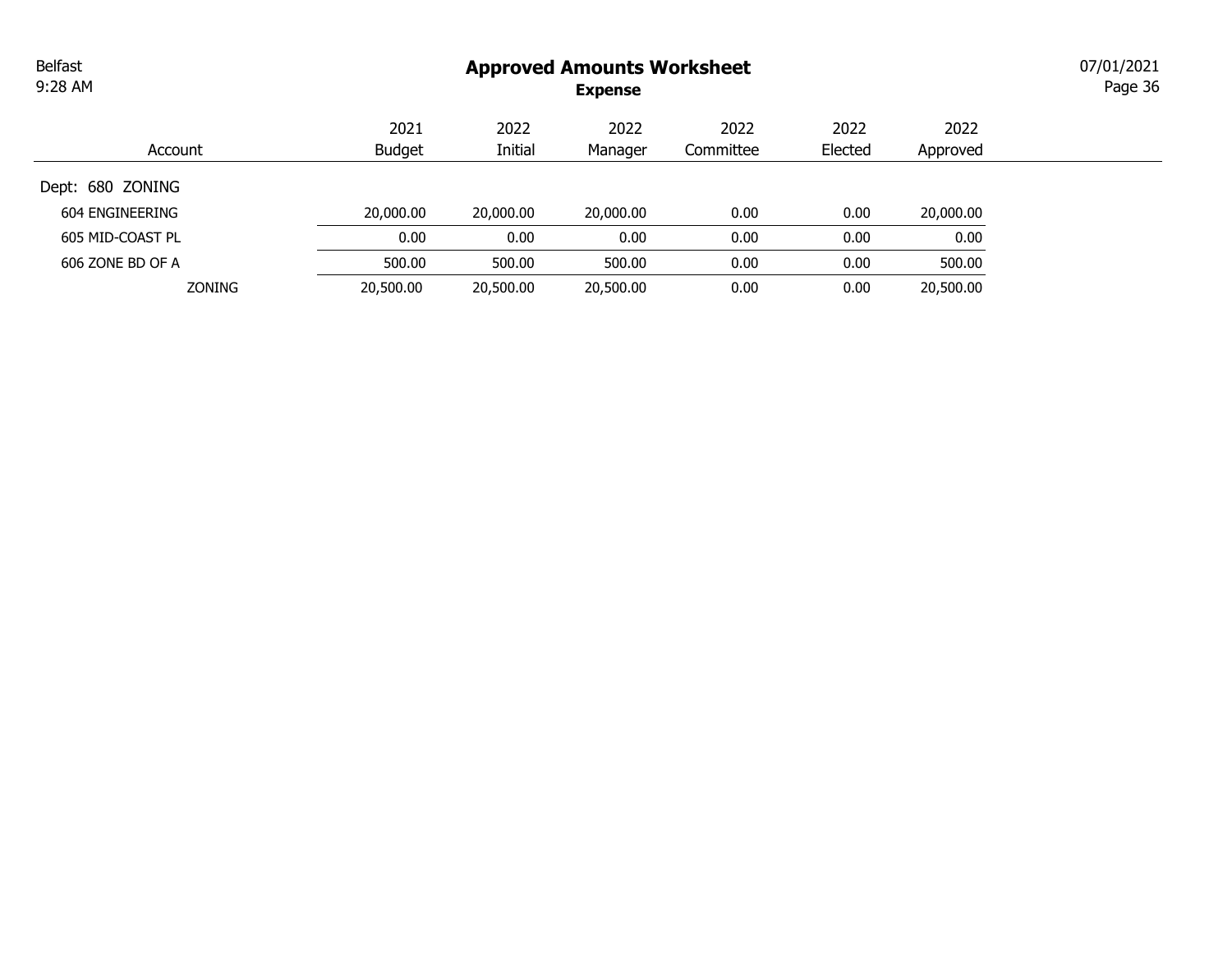# Approved Amounts Worksheet

Expense

Page 36 07/01/2021

| Account          | 2021<br><b>Budget</b> | 2022<br>Initial | 2022<br>Manager | 2022<br>Committee | 2022<br>Elected | 2022<br>Approved |
|------------------|-----------------------|-----------------|-----------------|-------------------|-----------------|------------------|
| Dept: 680 ZONING |                       |                 |                 |                   |                 |                  |
| 604 ENGINEERING  | 20,000.00             | 20,000.00       | 20,000.00       | 0.00              | 0.00            | 20,000.00        |
| 605 MID-COAST PL | 0.00                  | 0.00            | 0.00            | 0.00              | 0.00            | 0.00             |
| 606 ZONE BD OF A | 500.00                | 500.00          | 500.00          | 0.00              | 0.00            | 500.00           |
| <b>ZONING</b>    | 20,500.00             | 20,500.00       | 20,500.00       | 0.00              | 0.00            | 20,500.00        |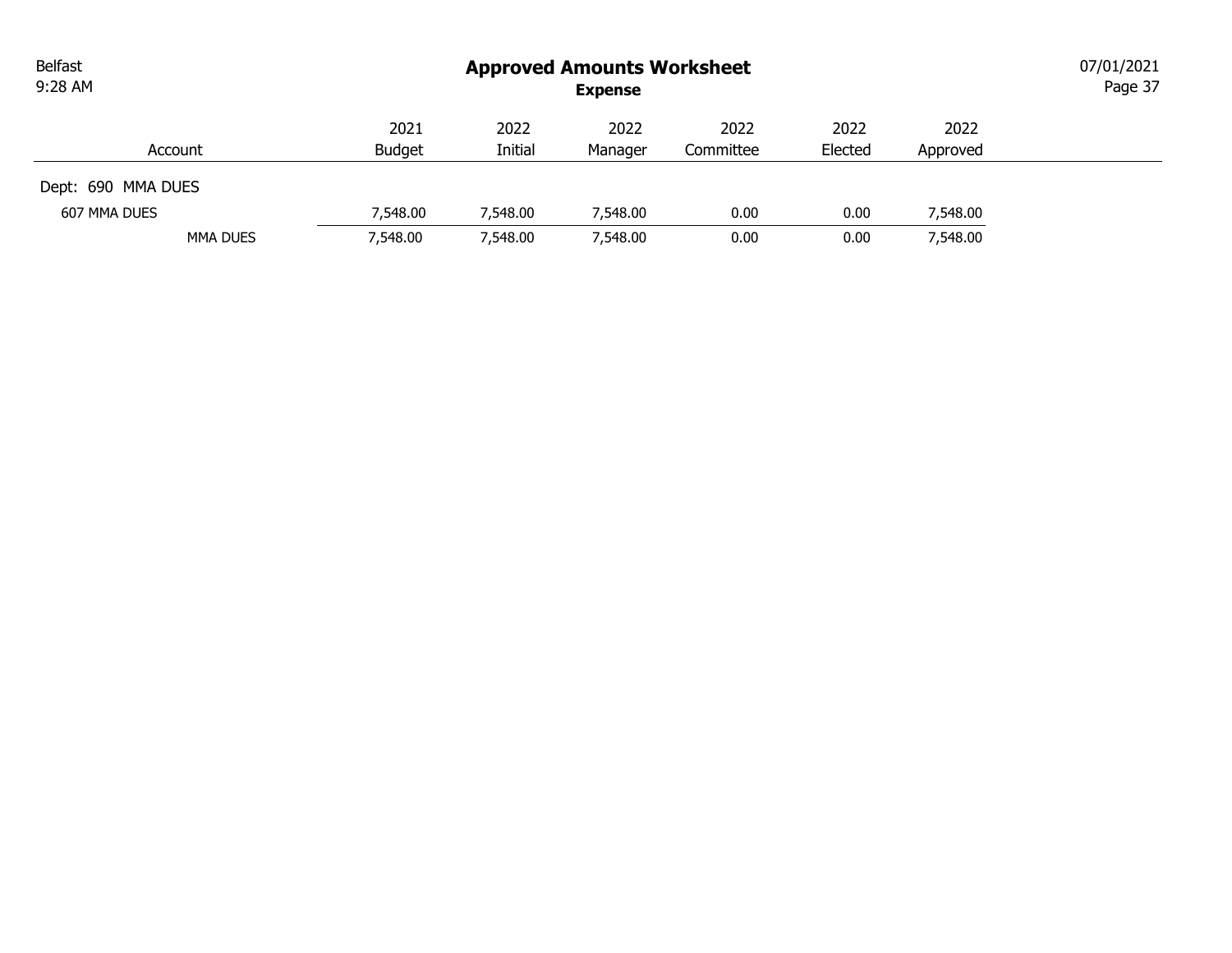| <b>Belfast</b><br>9:28 AM |               |          | <b>Approved Amounts Worksheet</b><br><b>Expense</b> |           |         |          | 07/01/2021<br>Page 37 |
|---------------------------|---------------|----------|-----------------------------------------------------|-----------|---------|----------|-----------------------|
|                           | 2021          | 2022     | 2022                                                | 2022      | 2022    | 2022     |                       |
| Account                   | <b>Budget</b> | Initial  | Manager                                             | Committee | Elected | Approved |                       |
| Dept: 690 MMA DUES        |               |          |                                                     |           |         |          |                       |
| 607 MMA DUES              | 7,548.00      | 7,548.00 | 7,548.00                                            | 0.00      | 0.00    | 7,548.00 |                       |
| <b>MMA DUES</b>           | 7,548.00      | 7,548.00 | 7,548.00                                            | 0.00      | 0.00    | 7,548.00 |                       |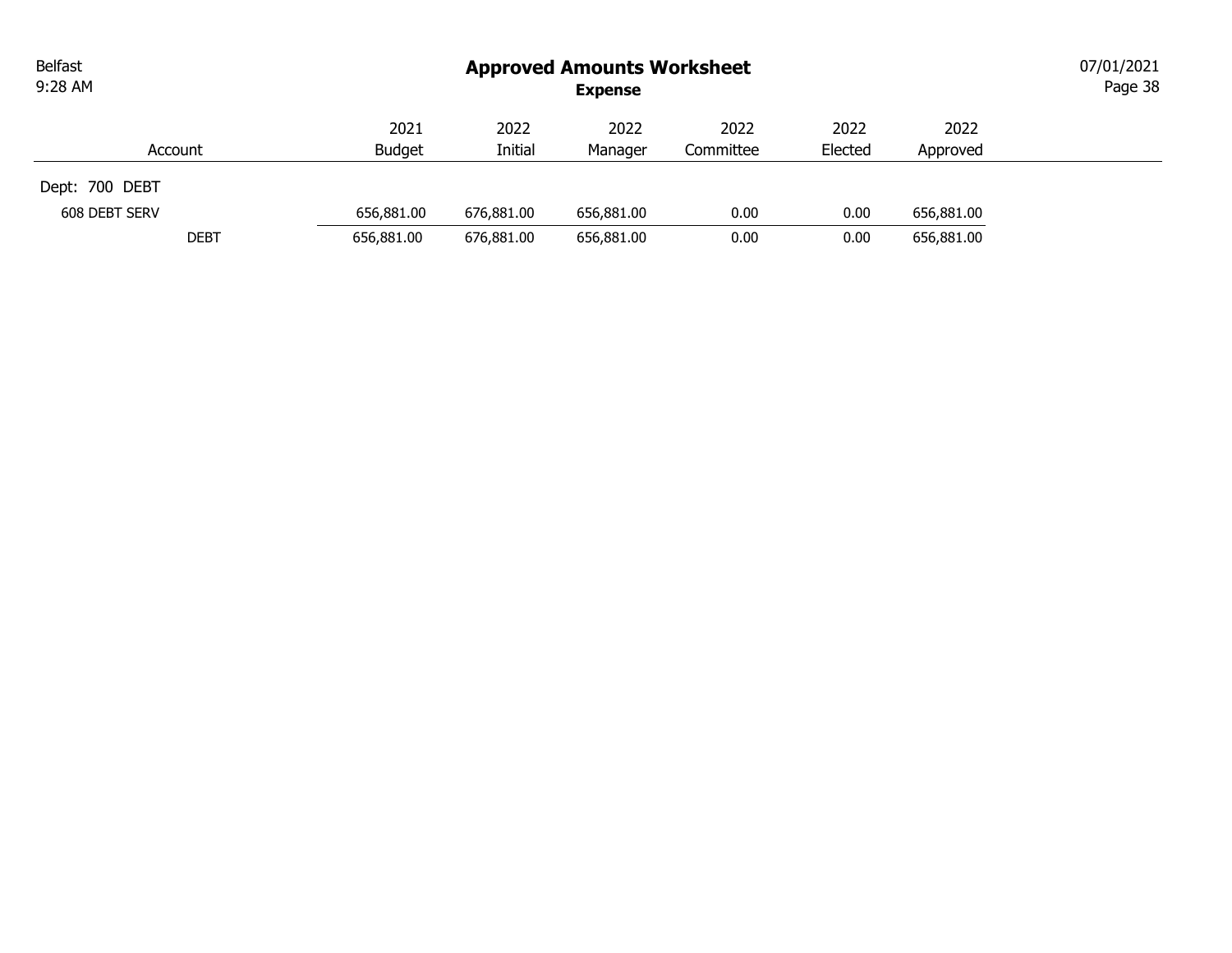| Belfast<br>9:28 AM |               |            | <b>Approved Amounts Worksheet</b><br><b>Expense</b> |           |         |            | 07/01/2021<br>Page 38 |
|--------------------|---------------|------------|-----------------------------------------------------|-----------|---------|------------|-----------------------|
|                    | 2021          | 2022       | 2022                                                | 2022      | 2022    | 2022       |                       |
| Account            | <b>Budget</b> | Initial    | Manager                                             | Committee | Elected | Approved   |                       |
| Dept: 700 DEBT     |               |            |                                                     |           |         |            |                       |
| 608 DEBT SERV      | 656,881,00    | 676,881.00 | 656,881.00                                          | 0.00      | 0.00    | 656,881.00 |                       |
| <b>DEBT</b>        | 656,881.00    | 676,881.00 | 656,881.00                                          | 0.00      | 0.00    | 656,881.00 |                       |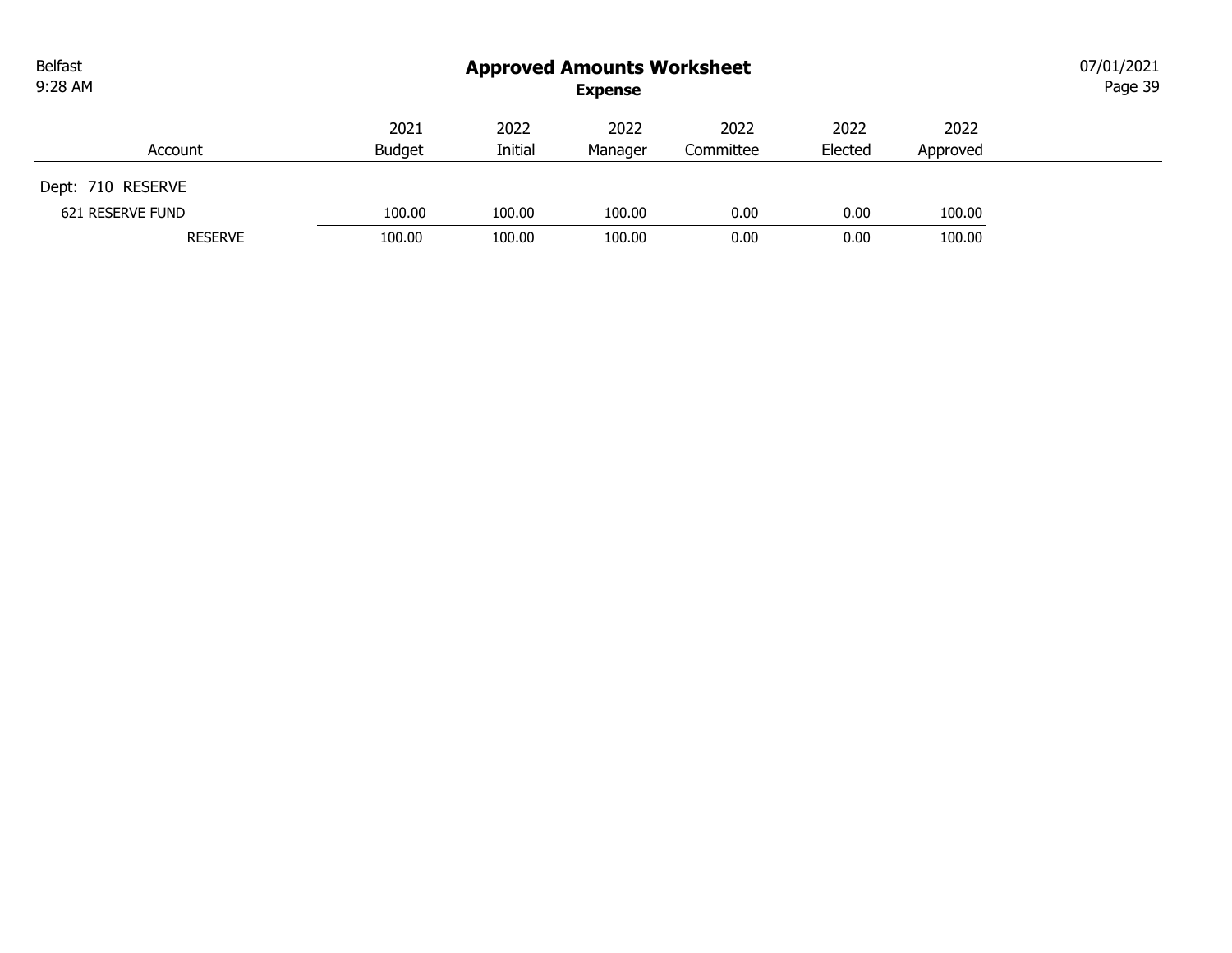| <b>Belfast</b><br>9:28 AM |               |         | <b>Approved Amounts Worksheet</b><br><b>Expense</b> |           |         |          | 07/01/2021<br>Page 39 |
|---------------------------|---------------|---------|-----------------------------------------------------|-----------|---------|----------|-----------------------|
|                           | 2021          | 2022    | 2022                                                | 2022      | 2022    | 2022     |                       |
| Account                   | <b>Budget</b> | Initial | Manager                                             | Committee | Elected | Approved |                       |
| Dept: 710 RESERVE         |               |         |                                                     |           |         |          |                       |
| 621 RESERVE FUND          | 100.00        | 100.00  | 100.00                                              | 0.00      | 0.00    | 100.00   |                       |
| <b>RESERVE</b>            | 100.00        | 100.00  | 100.00                                              | 0.00      | 0.00    | 100.00   |                       |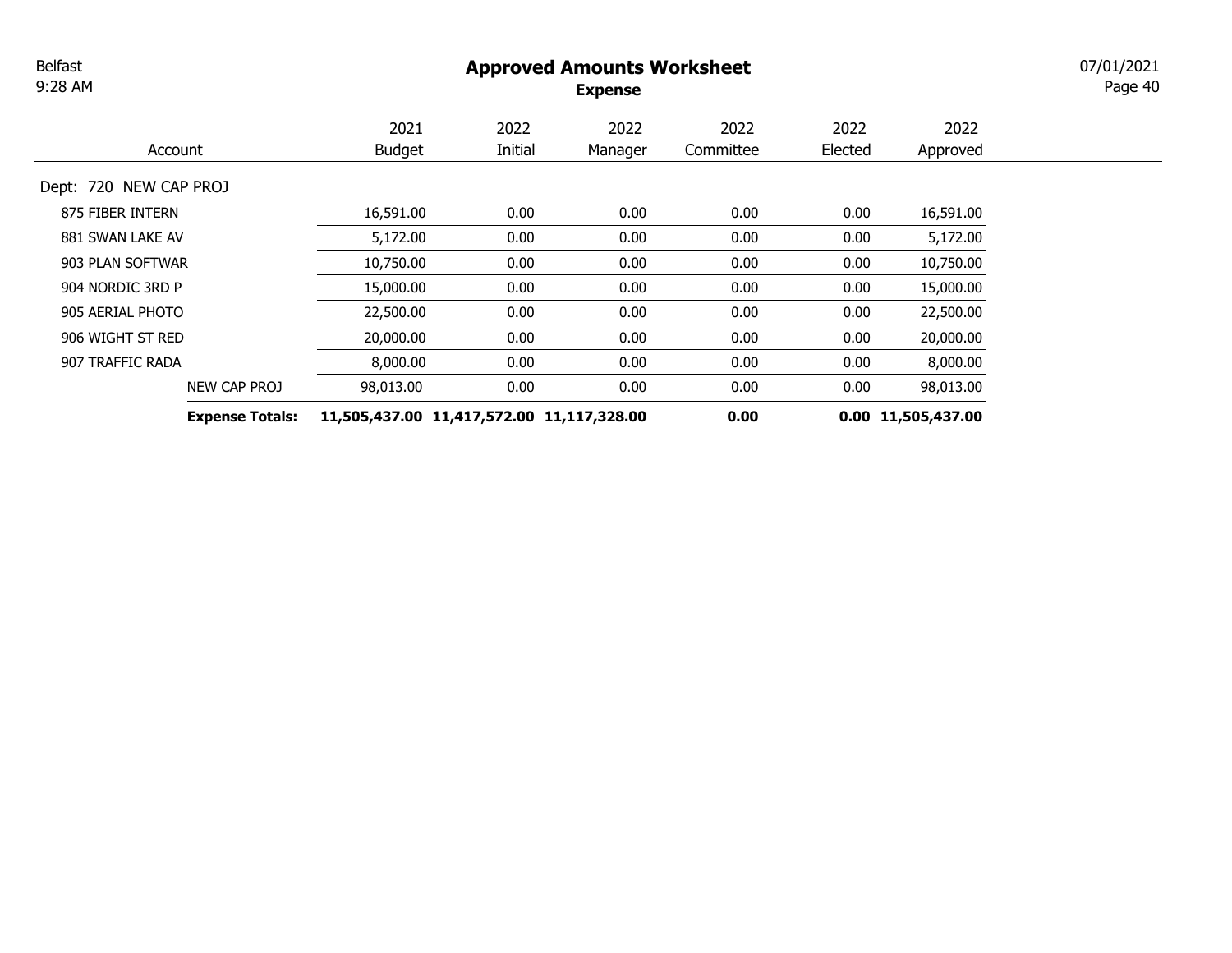# Approved Amounts Worksheet

Expense

Page 40 07/01/2021

**Contract Contract** 

|                        | 2021                                      | 2022    | 2022    | 2022      | 2022    | 2022               |
|------------------------|-------------------------------------------|---------|---------|-----------|---------|--------------------|
| Account                | <b>Budget</b>                             | Initial | Manager | Committee | Elected | Approved           |
| Dept: 720 NEW CAP PROJ |                                           |         |         |           |         |                    |
| 875 FIBER INTERN       | 16,591.00                                 | 0.00    | 0.00    | 0.00      | 0.00    | 16,591.00          |
| 881 SWAN LAKE AV       | 5,172.00                                  | 0.00    | 0.00    | 0.00      | 0.00    | 5,172.00           |
| 903 PLAN SOFTWAR       | 10,750.00                                 | 0.00    | 0.00    | 0.00      | 0.00    | 10,750.00          |
| 904 NORDIC 3RD P       | 15,000.00                                 | 0.00    | 0.00    | 0.00      | 0.00    | 15,000.00          |
| 905 AERIAL PHOTO       | 22,500.00                                 | 0.00    | 0.00    | 0.00      | 0.00    | 22,500.00          |
| 906 WIGHT ST RED       | 20,000.00                                 | 0.00    | 0.00    | 0.00      | 0.00    | 20,000.00          |
| 907 TRAFFIC RADA       | 8,000.00                                  | 0.00    | 0.00    | 0.00      | 0.00    | 8,000.00           |
| NEW CAP PROJ           | 98,013.00                                 | 0.00    | 0.00    | 0.00      | 0.00    | 98,013.00          |
| <b>Expense Totals:</b> | 11,505,437.00 11,417,572.00 11,117,328.00 |         |         | 0.00      |         | 0.00 11,505,437.00 |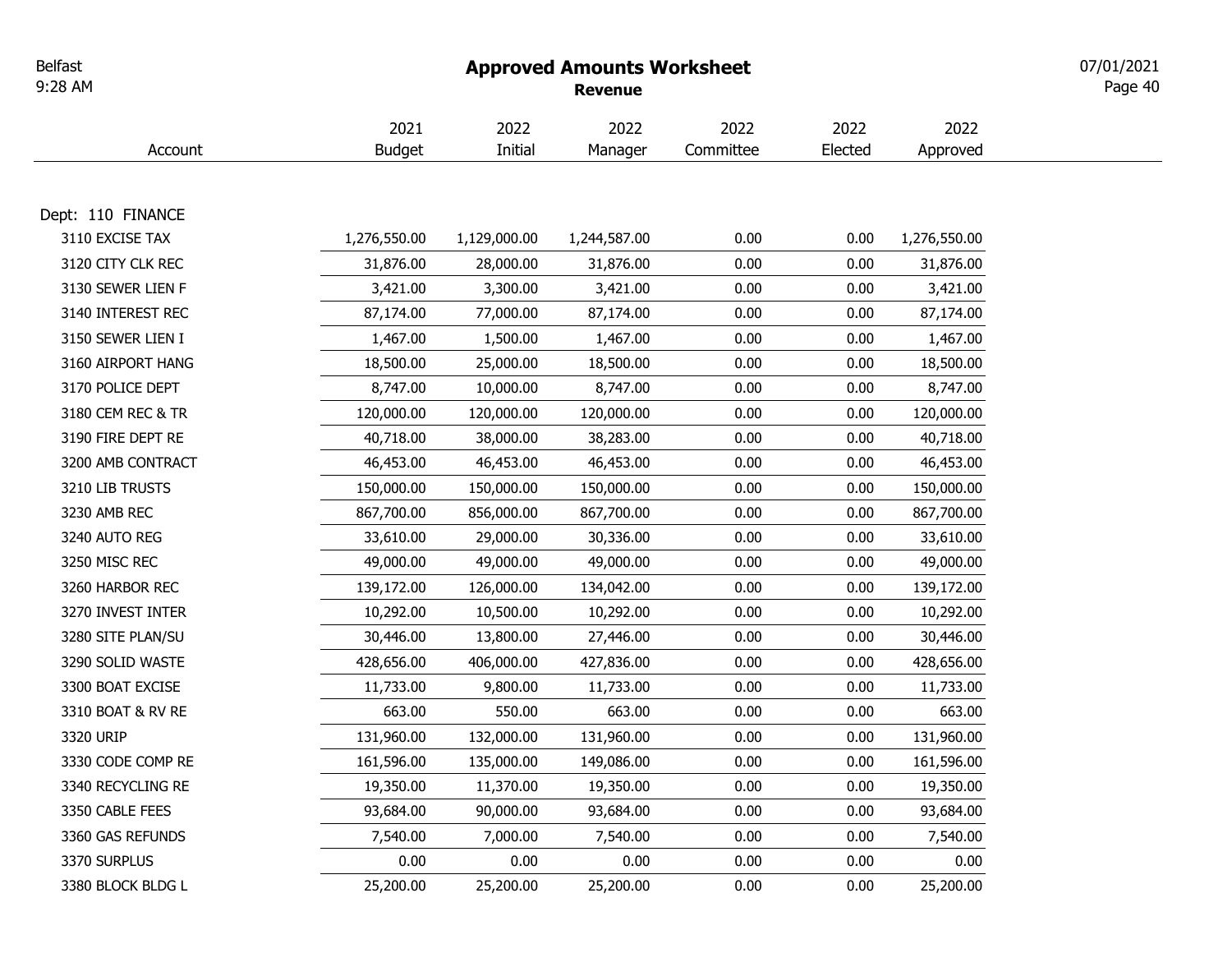### Approved Amounts Worksheet

Page 40 07/01/2021

|                   | 2021          | 2022         | 2022         | 2022      | 2022    | 2022         |
|-------------------|---------------|--------------|--------------|-----------|---------|--------------|
| Account           | <b>Budget</b> | Initial      | Manager      | Committee | Elected | Approved     |
|                   |               |              |              |           |         |              |
| Dept: 110 FINANCE |               |              |              |           |         |              |
| 3110 EXCISE TAX   | 1,276,550.00  | 1,129,000.00 | 1,244,587.00 | 0.00      | 0.00    | 1,276,550.00 |
| 3120 CITY CLK REC | 31,876.00     | 28,000.00    | 31,876.00    | 0.00      | 0.00    | 31,876.00    |
| 3130 SEWER LIEN F | 3,421.00      | 3,300.00     | 3,421.00     | 0.00      | 0.00    | 3,421.00     |
| 3140 INTEREST REC | 87,174.00     | 77,000.00    | 87,174.00    | 0.00      | 0.00    | 87,174.00    |
| 3150 SEWER LIEN I | 1,467.00      | 1,500.00     | 1,467.00     | 0.00      | 0.00    | 1,467.00     |
| 3160 AIRPORT HANG | 18,500.00     | 25,000.00    | 18,500.00    | 0.00      | 0.00    | 18,500.00    |
| 3170 POLICE DEPT  | 8,747.00      | 10,000.00    | 8,747.00     | 0.00      | 0.00    | 8,747.00     |
| 3180 CEM REC & TR | 120,000.00    | 120,000.00   | 120,000.00   | 0.00      | 0.00    | 120,000.00   |
| 3190 FIRE DEPT RE | 40,718.00     | 38,000.00    | 38,283.00    | 0.00      | 0.00    | 40,718.00    |
| 3200 AMB CONTRACT | 46,453.00     | 46,453.00    | 46,453.00    | 0.00      | 0.00    | 46,453.00    |
| 3210 LIB TRUSTS   | 150,000.00    | 150,000.00   | 150,000.00   | 0.00      | 0.00    | 150,000.00   |
| 3230 AMB REC      | 867,700.00    | 856,000.00   | 867,700.00   | 0.00      | 0.00    | 867,700.00   |
| 3240 AUTO REG     | 33,610.00     | 29,000.00    | 30,336.00    | 0.00      | 0.00    | 33,610.00    |
| 3250 MISC REC     | 49,000.00     | 49,000.00    | 49,000.00    | 0.00      | 0.00    | 49,000.00    |
| 3260 HARBOR REC   | 139,172.00    | 126,000.00   | 134,042.00   | 0.00      | 0.00    | 139,172.00   |
| 3270 INVEST INTER | 10,292.00     | 10,500.00    | 10,292.00    | 0.00      | 0.00    | 10,292.00    |
| 3280 SITE PLAN/SU | 30,446.00     | 13,800.00    | 27,446.00    | 0.00      | 0.00    | 30,446.00    |
| 3290 SOLID WASTE  | 428,656.00    | 406,000.00   | 427,836.00   | 0.00      | 0.00    | 428,656.00   |
| 3300 BOAT EXCISE  | 11,733.00     | 9,800.00     | 11,733.00    | 0.00      | 0.00    | 11,733.00    |
| 3310 BOAT & RV RE | 663.00        | 550.00       | 663.00       | 0.00      | 0.00    | 663.00       |
| 3320 URIP         | 131,960.00    | 132,000.00   | 131,960.00   | 0.00      | 0.00    | 131,960.00   |
| 3330 CODE COMP RE | 161,596.00    | 135,000.00   | 149,086.00   | 0.00      | 0.00    | 161,596.00   |
| 3340 RECYCLING RE | 19,350.00     | 11,370.00    | 19,350.00    | 0.00      | 0.00    | 19,350.00    |
| 3350 CABLE FEES   | 93,684.00     | 90,000.00    | 93,684.00    | 0.00      | 0.00    | 93,684.00    |
| 3360 GAS REFUNDS  | 7,540.00      | 7,000.00     | 7,540.00     | 0.00      | 0.00    | 7,540.00     |
| 3370 SURPLUS      | 0.00          | 0.00         | 0.00         | 0.00      | 0.00    | 0.00         |
| 3380 BLOCK BLDG L | 25,200.00     | 25,200.00    | 25,200.00    | 0.00      | 0.00    | 25,200.00    |